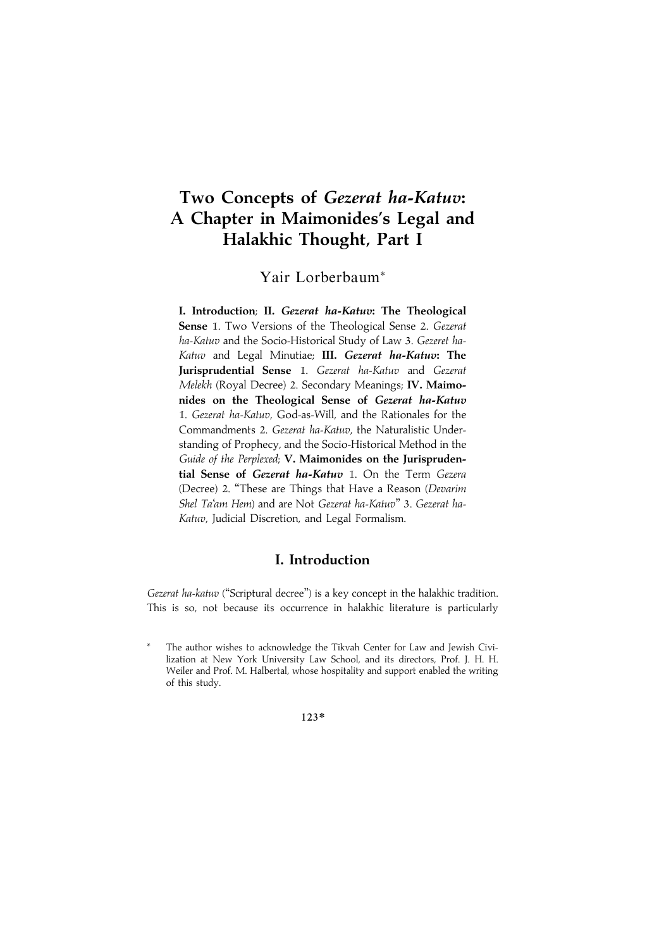# Two Concepts of Gezerat ha-Katuv: A Chapter in Maimonides's Legal and Halakhic Thought, Part I

Yair Lorberbaum\*

I. Introduction; II. Gezerat ha-Katuv: The Theological Sense 1. Two Versions of the Theological Sense 2. Gezerat ha-Katuv and the Socio-Historical Study of Law 3. Gezeret ha-Katuv and Legal Minutiae; III. Gezerat ha-Katuv: The Jurisprudential Sense 1. Gezerat ha-Katuv and Gezerat Melekh (Royal Decree) 2. Secondary Meanings; IV. Maimonides on the Theological Sense of Gezerat ha-Katuv 1. Gezerat ha-Katuv, God-as-Will, and the Rationales for the Commandments 2. Gezerat ha-Katuv, the Naturalistic Understanding of Prophecy, and the Socio-Historical Method in the Guide of the Perplexed; V. Maimonides on the Jurisprudential Sense of Gezerat ha-Katuv 1. On the Term Gezera (Decree) 2. ''These are Things that Have a Reason (Devarim Shel Ta'am Hem) and are Not Gezerat ha-Katuv" 3. Gezerat ha-Katuv, Judicial Discretion, and Legal Formalism.

# I. Introduction

Gezerat ha-katuv ("Scriptural decree") is a key concept in the halakhic tradition. This is so, not because its occurrence in halakhic literature is particularly

123\*

The author wishes to acknowledge the Tikvah Center for Law and Jewish Civilization at New York University Law School, and its directors, Prof. J. H. H. Weiler and Prof. M. Halbertal, whose hospitality and support enabled the writing of this study.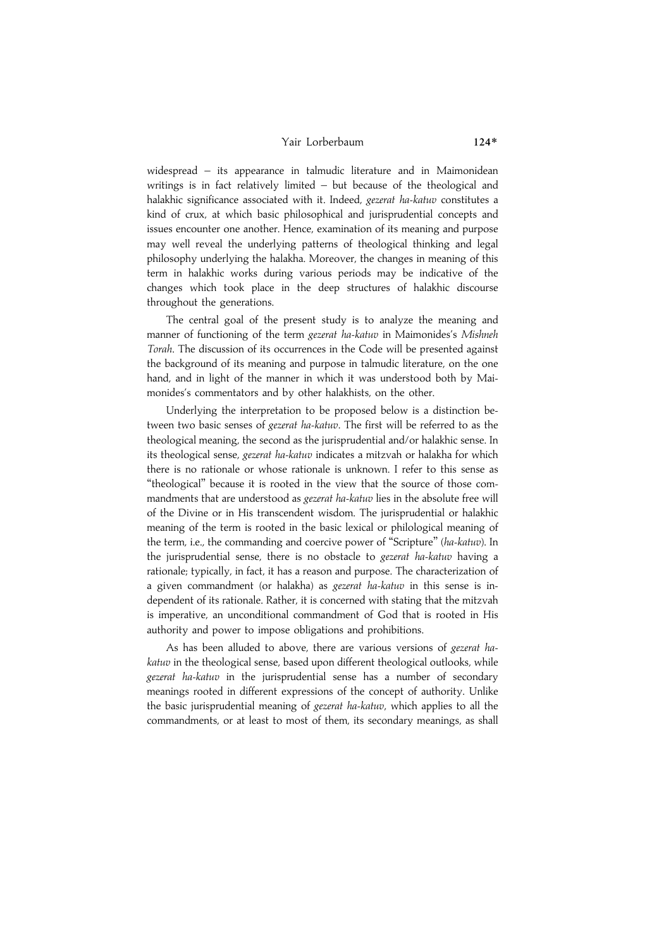#### Yair Lorberbaum 124\*

widespread – its appearance in talmudic literature and in Maimonidean writings is in fact relatively limited – but because of the theological and halakhic significance associated with it. Indeed, gezerat ha-katuv constitutes a kind of crux, at which basic philosophical and jurisprudential concepts and issues encounter one another. Hence, examination of its meaning and purpose may well reveal the underlying patterns of theological thinking and legal philosophy underlying the halakha. Moreover, the changes in meaning of this term in halakhic works during various periods may be indicative of the changes which took place in the deep structures of halakhic discourse throughout the generations.

The central goal of the present study is to analyze the meaning and manner of functioning of the term gezerat ha-katuv in Maimonides's Mishneh Torah. The discussion of its occurrences in the Code will be presented against the background of its meaning and purpose in talmudic literature, on the one hand, and in light of the manner in which it was understood both by Maimonides's commentators and by other halakhists, on the other.

Underlying the interpretation to be proposed below is a distinction between two basic senses of gezerat ha-katuv. The first will be referred to as the theological meaning, the second as the jurisprudential and/or halakhic sense. In its theological sense, gezerat ha-katuv indicates a mitzvah or halakha for which there is no rationale or whose rationale is unknown. I refer to this sense as ''theological'' because it is rooted in the view that the source of those commandments that are understood as gezerat ha-katuv lies in the absolute free will of the Divine or in His transcendent wisdom. The jurisprudential or halakhic meaning of the term is rooted in the basic lexical or philological meaning of the term, i.e., the commanding and coercive power of ''Scripture'' (ha-katuv). In the jurisprudential sense, there is no obstacle to gezerat ha-katuv having a rationale; typically, in fact, it has a reason and purpose. The characterization of a given commandment (or halakha) as gezerat ha-katuv in this sense is independent of its rationale. Rather, it is concerned with stating that the mitzvah is imperative, an unconditional commandment of God that is rooted in His authority and power to impose obligations and prohibitions.

As has been alluded to above, there are various versions of gezerat hakatuv in the theological sense, based upon different theological outlooks, while gezerat ha-katuv in the jurisprudential sense has a number of secondary meanings rooted in different expressions of the concept of authority. Unlike the basic jurisprudential meaning of gezerat ha-katuv, which applies to all the commandments, or at least to most of them, its secondary meanings, as shall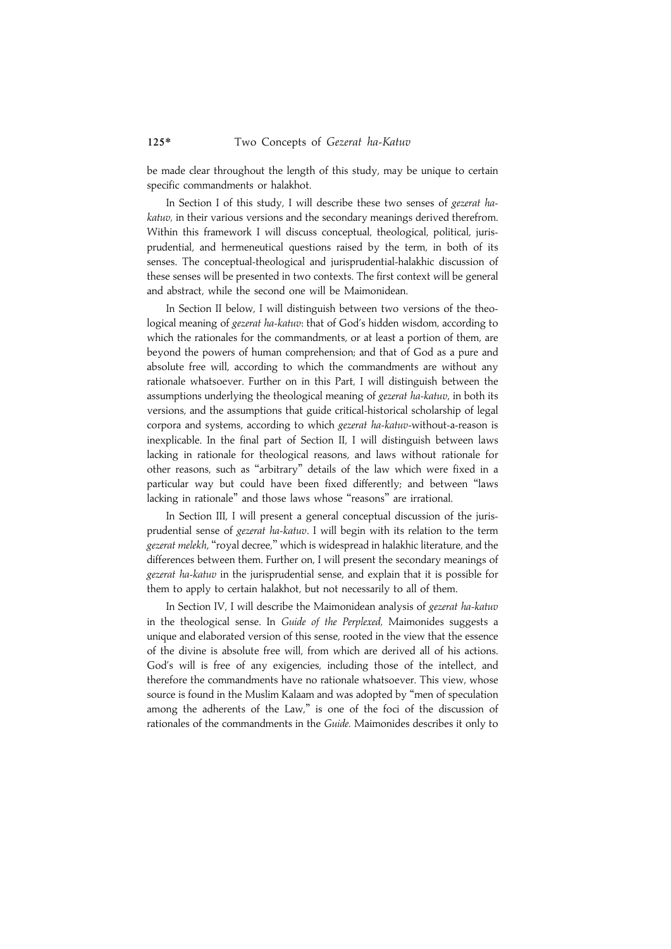be made clear throughout the length of this study, may be unique to certain specific commandments or halakhot.

In Section I of this study, I will describe these two senses of gezerat hakatuv, in their various versions and the secondary meanings derived therefrom. Within this framework I will discuss conceptual, theological, political, jurisprudential, and hermeneutical questions raised by the term, in both of its senses. The conceptual-theological and jurisprudential-halakhic discussion of these senses will be presented in two contexts. The first context will be general and abstract, while the second one will be Maimonidean.

In Section II below, I will distinguish between two versions of the theological meaning of gezerat ha-katuv: that of God's hidden wisdom, according to which the rationales for the commandments, or at least a portion of them, are beyond the powers of human comprehension; and that of God as a pure and absolute free will, according to which the commandments are without any rationale whatsoever. Further on in this Part, I will distinguish between the assumptions underlying the theological meaning of gezerat ha-katuv, in both its versions, and the assumptions that guide critical-historical scholarship of legal corpora and systems, according to which gezerat ha-katuv-without-a-reason is inexplicable. In the final part of Section II, I will distinguish between laws lacking in rationale for theological reasons, and laws without rationale for other reasons, such as ''arbitrary'' details of the law which were fixed in a particular way but could have been fixed differently; and between ''laws lacking in rationale" and those laws whose "reasons" are irrational.

In Section III, I will present a general conceptual discussion of the jurisprudential sense of gezerat ha-katuv. I will begin with its relation to the term gezerat melekh, "royal decree," which is widespread in halakhic literature, and the differences between them. Further on, I will present the secondary meanings of gezerat ha-katuv in the jurisprudential sense, and explain that it is possible for them to apply to certain halakhot, but not necessarily to all of them.

In Section IV, I will describe the Maimonidean analysis of gezerat ha-katuv in the theological sense. In Guide of the Perplexed, Maimonides suggests a unique and elaborated version of this sense, rooted in the view that the essence of the divine is absolute free will, from which are derived all of his actions. God's will is free of any exigencies, including those of the intellect, and therefore the commandments have no rationale whatsoever. This view, whose source is found in the Muslim Kalaam and was adopted by ''men of speculation among the adherents of the Law," is one of the foci of the discussion of rationales of the commandments in the Guide. Maimonides describes it only to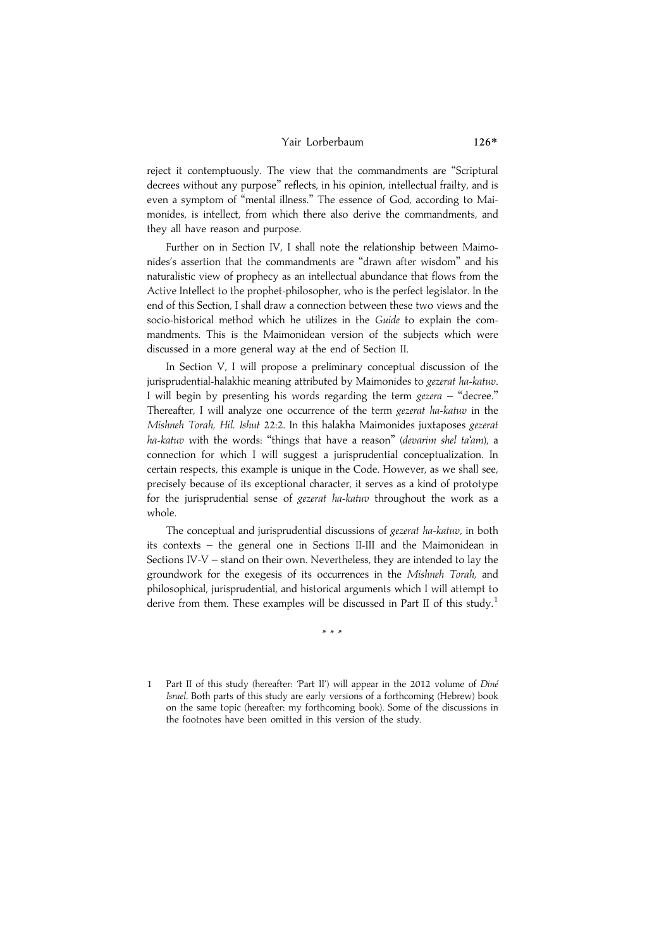#### Yair Lorberbaum 126\*

reject it contemptuously. The view that the commandments are ''Scriptural decrees without any purpose'' reflects, in his opinion, intellectual frailty, and is even a symptom of ''mental illness.'' The essence of God, according to Maimonides, is intellect, from which there also derive the commandments, and they all have reason and purpose.

Further on in Section IV, I shall note the relationship between Maimonides's assertion that the commandments are ''drawn after wisdom'' and his naturalistic view of prophecy as an intellectual abundance that flows from the Active Intellect to the prophet-philosopher, who is the perfect legislator. In the end of this Section, I shall draw a connection between these two views and the socio-historical method which he utilizes in the Guide to explain the commandments. This is the Maimonidean version of the subjects which were discussed in a more general way at the end of Section II.

In Section V, I will propose a preliminary conceptual discussion of the jurisprudential-halakhic meaning attributed by Maimonides to gezerat ha-katuv. I will begin by presenting his words regarding the term  $gezera$  – "decree." Thereafter, I will analyze one occurrence of the term gezerat ha-katuv in the Mishneh Torah, Hil. Ishut 22:2. In this halakha Maimonides juxtaposes gezerat ha-katuv with the words: "things that have a reason" (devarim shel ta'am), a connection for which I will suggest a jurisprudential conceptualization. In certain respects, this example is unique in the Code. However, as we shall see, precisely because of its exceptional character, it serves as a kind of prototype for the jurisprudential sense of gezerat ha-katuv throughout the work as a whole.

The conceptual and jurisprudential discussions of gezerat ha-katuv, in both its contexts – the general one in Sections II-III and the Maimonidean in Sections IV-V – stand on their own. Nevertheless, they are intended to lay the groundwork for the exegesis of its occurrences in the Mishneh Torah, and philosophical, jurisprudential, and historical arguments which I will attempt to derive from them. These examples will be discussed in Part II of this study.<sup>1</sup>

\*\*\*

1 Part II of this study (hereafter: 'Part II') will appear in the 2012 volume of Diné Israel. Both parts of this study are early versions of a forthcoming (Hebrew) book on the same topic (hereafter: my forthcoming book). Some of the discussions in the footnotes have been omitted in this version of the study.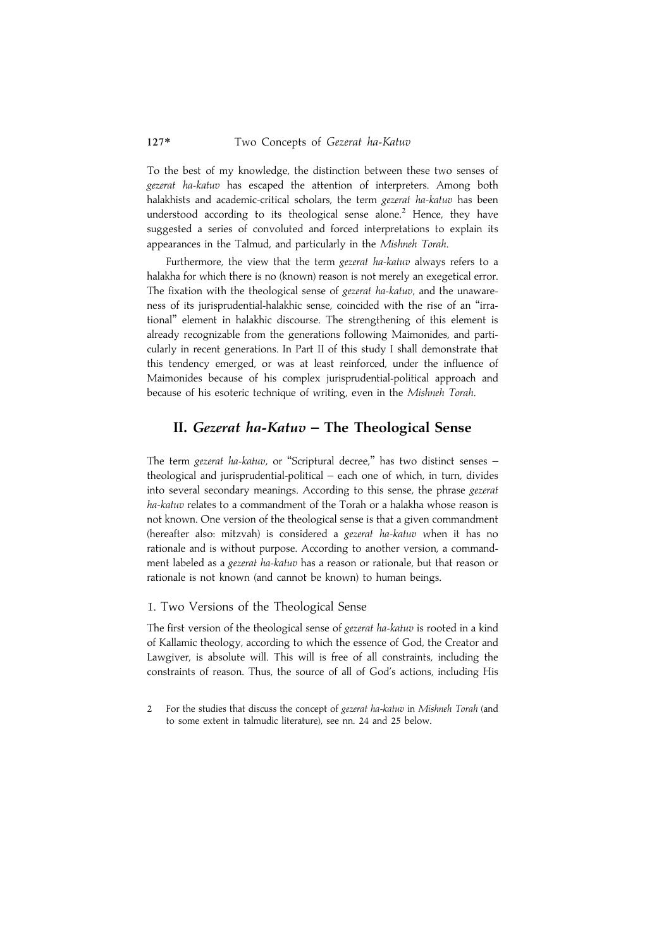To the best of my knowledge, the distinction between these two senses of gezerat ha-katuv has escaped the attention of interpreters. Among both halakhists and academic-critical scholars, the term gezerat ha-katuv has been understood according to its theological sense alone.<sup>2</sup> Hence, they have suggested a series of convoluted and forced interpretations to explain its appearances in the Talmud, and particularly in the Mishneh Torah.

Furthermore, the view that the term gezerat ha-katuv always refers to a halakha for which there is no (known) reason is not merely an exegetical error. The fixation with the theological sense of gezerat ha-katuv, and the unawareness of its jurisprudential-halakhic sense, coincided with the rise of an ''irrational'' element in halakhic discourse. The strengthening of this element is already recognizable from the generations following Maimonides, and particularly in recent generations. In Part II of this study I shall demonstrate that this tendency emerged, or was at least reinforced, under the influence of Maimonides because of his complex jurisprudential-political approach and because of his esoteric technique of writing, even in the Mishneh Torah.

# II. Gezerat ha-Katuv – The Theological Sense

The term gezerat ha-katuv, or "Scriptural decree," has two distinct senses theological and jurisprudential-political – each one of which, in turn, divides into several secondary meanings. According to this sense, the phrase gezerat ha-katuv relates to a commandment of the Torah or a halakha whose reason is not known. One version of the theological sense is that a given commandment (hereafter also: mitzvah) is considered a gezerat ha-katuv when it has no rationale and is without purpose. According to another version, a commandment labeled as a gezerat ha-katuv has a reason or rationale, but that reason or rationale is not known (and cannot be known) to human beings.

#### 1. Two Versions of the Theological Sense

The first version of the theological sense of gezerat ha-katuv is rooted in a kind of Kallamic theology, according to which the essence of God, the Creator and Lawgiver, is absolute will. This will is free of all constraints, including the constraints of reason. Thus, the source of all of God's actions, including His

<sup>2</sup> For the studies that discuss the concept of gezerat ha-katuv in Mishneh Torah (and to some extent in talmudic literature), see nn. 24 and 25 below.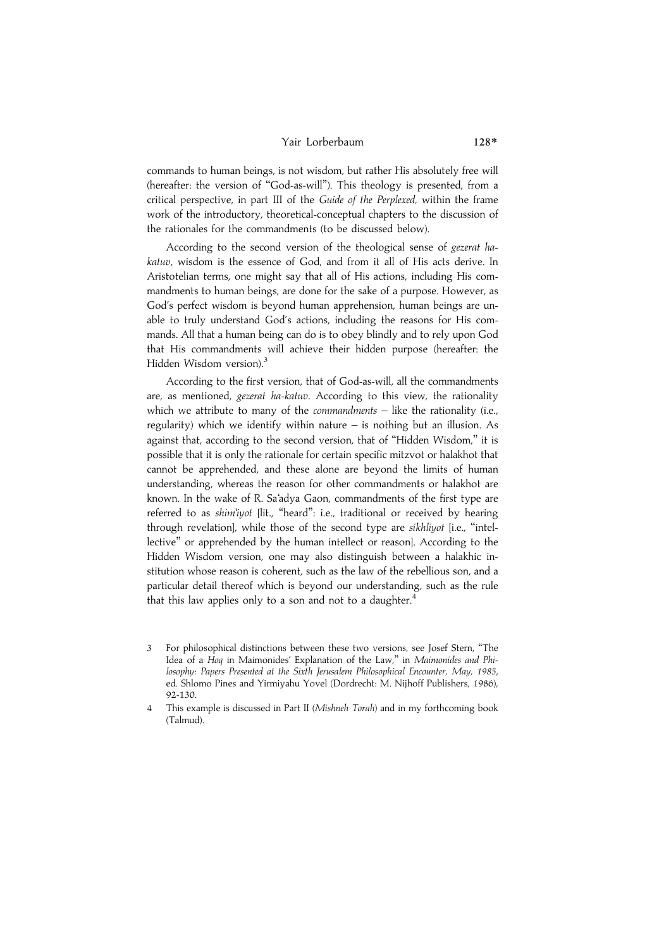#### Yair Lorberbaum 128\*

commands to human beings, is not wisdom, but rather His absolutely free will (hereafter: the version of ''God-as-will''). This theology is presented, from a critical perspective, in part III of the Guide of the Perplexed, within the frame work of the introductory, theoretical-conceptual chapters to the discussion of the rationales for the commandments (to be discussed below).

According to the second version of the theological sense of gezerat hakatuv, wisdom is the essence of God, and from it all of His acts derive. In Aristotelian terms, one might say that all of His actions, including His commandments to human beings, are done for the sake of a purpose. However, as God's perfect wisdom is beyond human apprehension, human beings are unable to truly understand God's actions, including the reasons for His commands. All that a human being can do is to obey blindly and to rely upon God that His commandments will achieve their hidden purpose (hereafter: the Hidden Wisdom version).<sup>3</sup>

According to the first version, that of God-as-will, all the commandments are, as mentioned, gezerat ha-katuv. According to this view, the rationality which we attribute to many of the *commandments*  $-$  like the rationality (i.e., regularity) which we identify within nature – is nothing but an illusion. As against that, according to the second version, that of "Hidden Wisdom," it is possible that it is only the rationale for certain specific mitzvot or halakhot that cannot be apprehended, and these alone are beyond the limits of human understanding, whereas the reason for other commandments or halakhot are known. In the wake of R. Sa'adya Gaon, commandments of the first type are referred to as shim'iyot [lit., "heard": i.e., traditional or received by hearing through revelation], while those of the second type are sikhliyot [i.e., "intellective'' or apprehended by the human intellect or reason]. According to the Hidden Wisdom version, one may also distinguish between a halakhic institution whose reason is coherent, such as the law of the rebellious son, and a particular detail thereof which is beyond our understanding, such as the rule that this law applies only to a son and not to a daughter.<sup>4</sup>

<sup>3</sup> For philosophical distinctions between these two versions, see Josef Stern, ''The Idea of a Hoq in Maimonides' Explanation of the Law," in Maimonides and Philosophy: Papers Presented at the Sixth Jerusalem Philosophical Encounter, May, 1985, ed. Shlomo Pines and Yirmiyahu Yovel (Dordrecht: M. Nijhoff Publishers, 1986), 92-130.

<sup>4</sup> This example is discussed in Part II (Mishneh Torah) and in my forthcoming book (Talmud).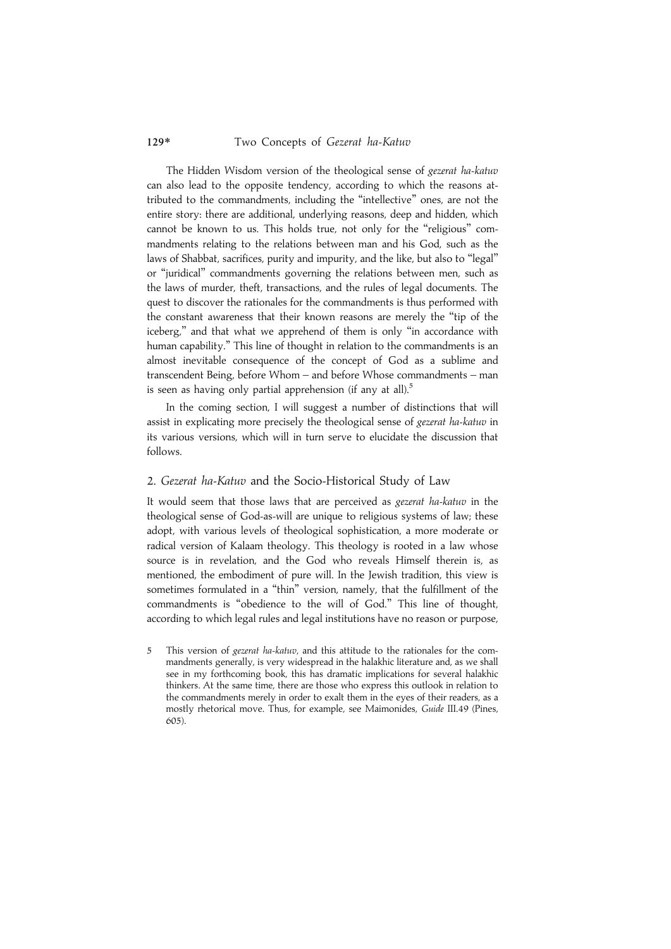The Hidden Wisdom version of the theological sense of gezerat ha-katuv can also lead to the opposite tendency, according to which the reasons attributed to the commandments, including the ''intellective'' ones, are not the entire story: there are additional, underlying reasons, deep and hidden, which cannot be known to us. This holds true, not only for the ''religious'' commandments relating to the relations between man and his God, such as the laws of Shabbat, sacrifices, purity and impurity, and the like, but also to "legal" or ''juridical'' commandments governing the relations between men, such as the laws of murder, theft, transactions, and the rules of legal documents. The quest to discover the rationales for the commandments is thus performed with the constant awareness that their known reasons are merely the ''tip of the iceberg,'' and that what we apprehend of them is only ''in accordance with human capability.'' This line of thought in relation to the commandments is an almost inevitable consequence of the concept of God as a sublime and transcendent Being, before Whom – and before Whose commandments – man is seen as having only partial apprehension (if any at all).<sup>5</sup>

In the coming section, I will suggest a number of distinctions that will assist in explicating more precisely the theological sense of gezerat ha-katuv in its various versions, which will in turn serve to elucidate the discussion that follows.

#### 2. Gezerat ha-Katuv and the Socio-Historical Study of Law

It would seem that those laws that are perceived as gezerat ha-katuv in the theological sense of God-as-will are unique to religious systems of law; these adopt, with various levels of theological sophistication, a more moderate or radical version of Kalaam theology. This theology is rooted in a law whose source is in revelation, and the God who reveals Himself therein is, as mentioned, the embodiment of pure will. In the Jewish tradition, this view is sometimes formulated in a ''thin'' version, namely, that the fulfillment of the commandments is ''obedience to the will of God.'' This line of thought, according to which legal rules and legal institutions have no reason or purpose,

5 This version of gezerat ha-katuv, and this attitude to the rationales for the commandments generally, is very widespread in the halakhic literature and, as we shall see in my forthcoming book, this has dramatic implications for several halakhic thinkers. At the same time, there are those who express this outlook in relation to the commandments merely in order to exalt them in the eyes of their readers, as a mostly rhetorical move. Thus, for example, see Maimonides, Guide III.49 (Pines, 605).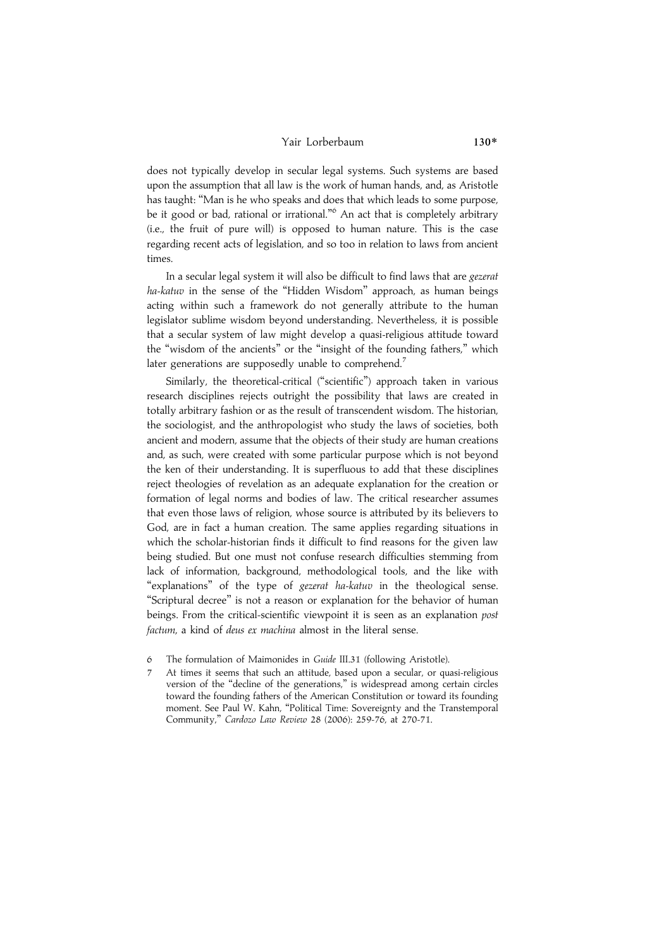#### Yair Lorberbaum 130\*

does not typically develop in secular legal systems. Such systems are based upon the assumption that all law is the work of human hands, and, as Aristotle has taught: ''Man is he who speaks and does that which leads to some purpose, be it good or bad, rational or irrational."<sup>6</sup> An act that is completely arbitrary (i.e., the fruit of pure will) is opposed to human nature. This is the case regarding recent acts of legislation, and so too in relation to laws from ancient times.

In a secular legal system it will also be difficult to find laws that are gezerat ha-katuv in the sense of the "Hidden Wisdom" approach, as human beings acting within such a framework do not generally attribute to the human legislator sublime wisdom beyond understanding. Nevertheless, it is possible that a secular system of law might develop a quasi-religious attitude toward the ''wisdom of the ancients'' or the ''insight of the founding fathers,'' which later generations are supposedly unable to comprehend.<sup>7</sup>

Similarly, the theoretical-critical ("scientific") approach taken in various research disciplines rejects outright the possibility that laws are created in totally arbitrary fashion or as the result of transcendent wisdom. The historian, the sociologist, and the anthropologist who study the laws of societies, both ancient and modern, assume that the objects of their study are human creations and, as such, were created with some particular purpose which is not beyond the ken of their understanding. It is superfluous to add that these disciplines reject theologies of revelation as an adequate explanation for the creation or formation of legal norms and bodies of law. The critical researcher assumes that even those laws of religion, whose source is attributed by its believers to God, are in fact a human creation. The same applies regarding situations in which the scholar-historian finds it difficult to find reasons for the given law being studied. But one must not confuse research difficulties stemming from lack of information, background, methodological tools, and the like with "explanations" of the type of gezerat ha-katuv in the theological sense. ''Scriptural decree'' is not a reason or explanation for the behavior of human beings. From the critical-scientific viewpoint it is seen as an explanation post factum, a kind of deus ex machina almost in the literal sense.

- 6 The formulation of Maimonides in Guide III.31 (following Aristotle).
- 7 At times it seems that such an attitude, based upon a secular, or quasi-religious version of the ''decline of the generations,'' is widespread among certain circles toward the founding fathers of the American Constitution or toward its founding moment. See Paul W. Kahn, ''Political Time: Sovereignty and the Transtemporal Community,'' Cardozo Law Review 28 (2006): 259-76, at 270-71.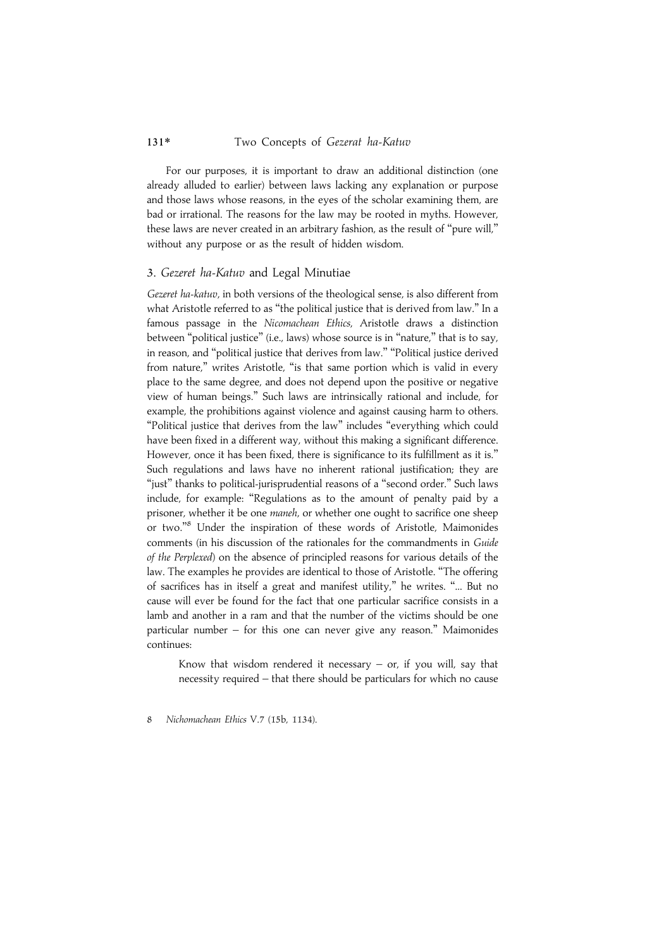For our purposes, it is important to draw an additional distinction (one already alluded to earlier) between laws lacking any explanation or purpose and those laws whose reasons, in the eyes of the scholar examining them, are bad or irrational. The reasons for the law may be rooted in myths. However, these laws are never created in an arbitrary fashion, as the result of ''pure will,'' without any purpose or as the result of hidden wisdom.

#### 3. Gezeret ha-Katuv and Legal Minutiae

Gezeret ha-katuv, in both versions of the theological sense, is also different from what Aristotle referred to as "the political justice that is derived from law." In a famous passage in the Nicomachean Ethics, Aristotle draws a distinction between "political justice" (i.e., laws) whose source is in "nature," that is to say, in reason, and ''political justice that derives from law.'' ''Political justice derived from nature,'' writes Aristotle, ''is that same portion which is valid in every place to the same degree, and does not depend upon the positive or negative view of human beings.'' Such laws are intrinsically rational and include, for example, the prohibitions against violence and against causing harm to others. ''Political justice that derives from the law'' includes ''everything which could have been fixed in a different way, without this making a significant difference. However, once it has been fixed, there is significance to its fulfillment as it is.'' Such regulations and laws have no inherent rational justification; they are "just" thanks to political-jurisprudential reasons of a "second order." Such laws include, for example: ''Regulations as to the amount of penalty paid by a prisoner, whether it be one maneh, or whether one ought to sacrifice one sheep or two."<sup>8</sup> Under the inspiration of these words of Aristotle, Maimonides comments (in his discussion of the rationales for the commandments in Guide of the Perplexed) on the absence of principled reasons for various details of the law. The examples he provides are identical to those of Aristotle. ''The offering of sacrifices has in itself a great and manifest utility,'' he writes. ''... But no cause will ever be found for the fact that one particular sacrifice consists in a lamb and another in a ram and that the number of the victims should be one particular number – for this one can never give any reason.'' Maimonides continues:

Know that wisdom rendered it necessary  $-$  or, if you will, say that necessity required – that there should be particulars for which no cause

8 Nichomachean Ethics V.7 (15b, 1134).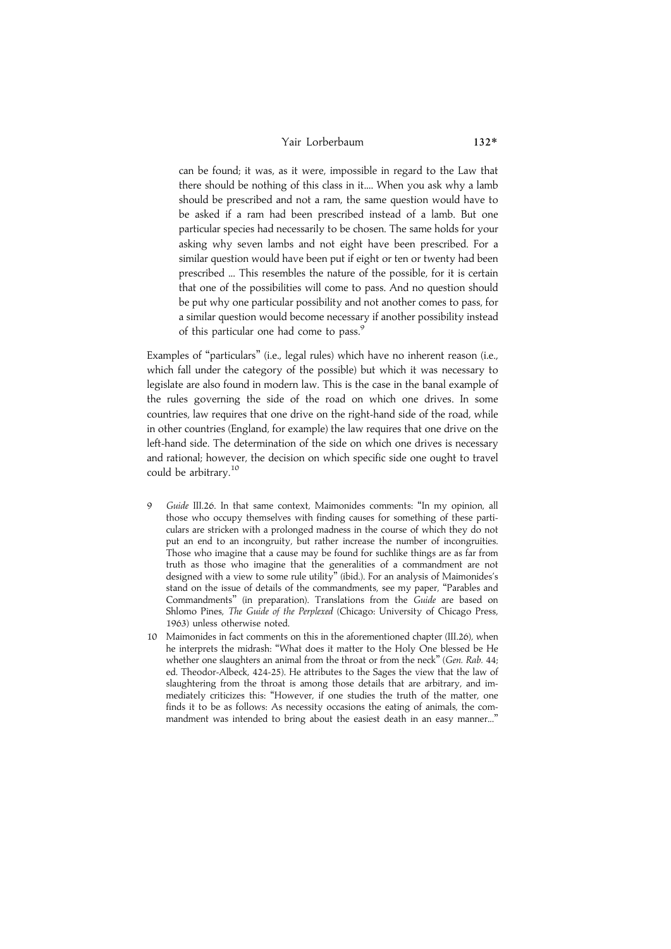## Yair Lorberbaum 132\*

can be found; it was, as it were, impossible in regard to the Law that there should be nothing of this class in it.... When you ask why a lamb should be prescribed and not a ram, the same question would have to be asked if a ram had been prescribed instead of a lamb. But one particular species had necessarily to be chosen. The same holds for your asking why seven lambs and not eight have been prescribed. For a similar question would have been put if eight or ten or twenty had been prescribed ... This resembles the nature of the possible, for it is certain that one of the possibilities will come to pass. And no question should be put why one particular possibility and not another comes to pass, for a similar question would become necessary if another possibility instead of this particular one had come to pass.<sup>9</sup>

Examples of ''particulars'' (i.e., legal rules) which have no inherent reason (i.e., which fall under the category of the possible) but which it was necessary to legislate are also found in modern law. This is the case in the banal example of the rules governing the side of the road on which one drives. In some countries, law requires that one drive on the right-hand side of the road, while in other countries (England, for example) the law requires that one drive on the left-hand side. The determination of the side on which one drives is necessary and rational; however, the decision on which specific side one ought to travel could be arbitrary.<sup>10</sup>

- Guide III.26. In that same context, Maimonides comments: "In my opinion, all those who occupy themselves with finding causes for something of these particulars are stricken with a prolonged madness in the course of which they do not put an end to an incongruity, but rather increase the number of incongruities. Those who imagine that a cause may be found for suchlike things are as far from truth as those who imagine that the generalities of a commandment are not designed with a view to some rule utility'' (ibid.). For an analysis of Maimonides's stand on the issue of details of the commandments, see my paper, ''Parables and Commandments'' (in preparation). Translations from the Guide are based on Shlomo Pines, The Guide of the Perplexed (Chicago: University of Chicago Press, 1963) unless otherwise noted.
- 10 Maimonides in fact comments on this in the aforementioned chapter (III.26), when he interprets the midrash: ''What does it matter to the Holy One blessed be He whether one slaughters an animal from the throat or from the neck" (Gen. Rab. 44; ed. Theodor-Albeck, 424-25). He attributes to the Sages the view that the law of slaughtering from the throat is among those details that are arbitrary, and immediately criticizes this: ''However, if one studies the truth of the matter, one finds it to be as follows: As necessity occasions the eating of animals, the commandment was intended to bring about the easiest death in an easy manner...'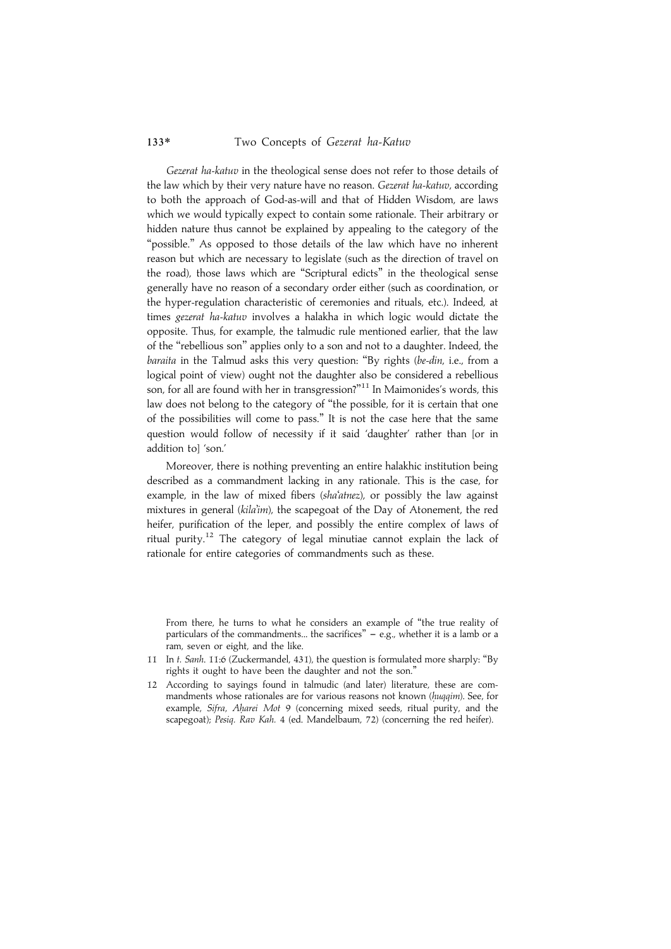Gezerat ha-katuv in the theological sense does not refer to those details of the law which by their very nature have no reason. Gezerat ha-katuv, according to both the approach of God-as-will and that of Hidden Wisdom, are laws which we would typically expect to contain some rationale. Their arbitrary or hidden nature thus cannot be explained by appealing to the category of the "possible." As opposed to those details of the law which have no inherent reason but which are necessary to legislate (such as the direction of travel on the road), those laws which are ''Scriptural edicts'' in the theological sense generally have no reason of a secondary order either (such as coordination, or the hyper-regulation characteristic of ceremonies and rituals, etc.). Indeed, at times gezerat ha-katuv involves a halakha in which logic would dictate the opposite. Thus, for example, the talmudic rule mentioned earlier, that the law of the ''rebellious son'' applies only to a son and not to a daughter. Indeed, the baraita in the Talmud asks this very question: "By rights (be-din, i.e., from a logical point of view) ought not the daughter also be considered a rebellious son, for all are found with her in transgression?"<sup>11</sup> In Maimonides's words, this law does not belong to the category of ''the possible, for it is certain that one of the possibilities will come to pass.'' It is not the case here that the same question would follow of necessity if it said 'daughter' rather than [or in addition to] 'son.'

Moreover, there is nothing preventing an entire halakhic institution being described as a commandment lacking in any rationale. This is the case, for example, in the law of mixed fibers (sha'atnez), or possibly the law against mixtures in general (kila'im), the scapegoat of the Day of Atonement, the red heifer, purification of the leper, and possibly the entire complex of laws of ritual purity.<sup>12</sup> The category of legal minutiae cannot explain the lack of rationale for entire categories of commandments such as these.

From there, he turns to what he considers an example of "the true reality of particulars of the commandments... the sacrifices"  $-$  e.g., whether it is a lamb or a ram, seven or eight, and the like.

- 11 In t. Sanh. 11:6 (Zuckermandel, 431), the question is formulated more sharply: ''By rights it ought to have been the daughter and not the son.''
- 12 According to sayings found in talmudic (and later) literature, these are commandments whose rationales are for various reasons not known (huqqim). See, for example, Sifra, Aharei Mot 9 (concerning mixed seeds, ritual purity, and the scapegoat); Pesiq. Rav Kah. 4 (ed. Mandelbaum, 72) (concerning the red heifer).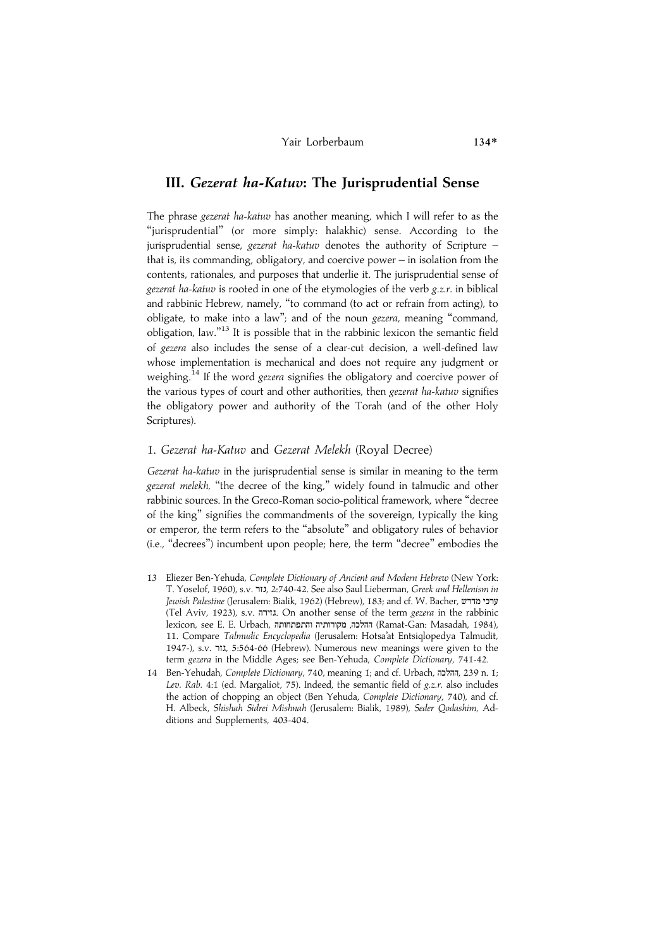#### Yair Lorberbaum 134\*

# III. Gezerat ha-Katuv: The Jurisprudential Sense

The phrase gezerat ha-katuv has another meaning, which I will refer to as the ''jurisprudential'' (or more simply: halakhic) sense. According to the jurisprudential sense, gezerat ha-katuv denotes the authority of Scripture – that is, its commanding, obligatory, and coercive power – in isolation from the contents, rationales, and purposes that underlie it. The jurisprudential sense of gezerat ha-katuv is rooted in one of the etymologies of the verb  $g.z.r.$  in biblical and rabbinic Hebrew, namely, ''to command (to act or refrain from acting), to obligate, to make into a law"; and of the noun *gezera*, meaning "command, obligation, law."<sup>13</sup> It is possible that in the rabbinic lexicon the semantic field of gezera also includes the sense of a clear-cut decision, a well-defined law whose implementation is mechanical and does not require any judgment or weighing.<sup>14</sup> If the word gezera signifies the obligatory and coercive power of the various types of court and other authorities, then gezerat ha-katuv signifies the obligatory power and authority of the Torah (and of the other Holy Scriptures).

# 1. Gezerat ha-Katuv and Gezerat Melekh (Royal Decree)

Gezerat ha-katuv in the jurisprudential sense is similar in meaning to the term gezerat melekh, ''the decree of the king,'' widely found in talmudic and other rabbinic sources. In the Greco-Roman socio-political framework, where ''decree of the king'' signifies the commandments of the sovereign, typically the king or emperor, the term refers to the ''absolute'' and obligatory rules of behavior (i.e., ''decrees'') incumbent upon people; here, the term ''decree'' embodies the

- 13 Eliezer Ben-Yehuda, Complete Dictionary of Ancient and Modern Hebrew (New York: T. Yoselof, 1960), s.v. גור, 2:740-42. See also Saul Lieberman, Greek and Hellenism in Jewish Palestine (Jerusalem: Bialik, 1962) (Hebrew), 183; and cf. W. Bacher, ערכי מדרש (Tel Aviv, 1923), s.v. גווירה. On another sense of the term gezera in the rabbinic lexicon, see E. E. Urbach, ההלכה, מקורותיה והתפתחותה (Ramat-Gan: Masadah, 1984), 11. Compare Talmudic Encyclopedia (Jerusalem: Hotsa'at Entsiqlopedya Talmudit, 1947-), s.v. ZHD, 5:564-66 (Hebrew). Numerous new meanings were given to the term gezera in the Middle Ages; see Ben-Yehuda, Complete Dictionary, 741-42.
- 14 Ben-Yehudah, Complete Dictionary, 740, meaning 1; and cf. Urbach, ההלכה, 239 n. 1; Lev. Rab. 4:1 (ed. Margaliot, 75). Indeed, the semantic field of g.z.r. also includes the action of chopping an object (Ben Yehuda, Complete Dictionary, 740), and cf. H. Albeck, Shishah Sidrei Mishnah (Jerusalem: Bialik, 1989), Seder Qodashim, Additions and Supplements, 403-404.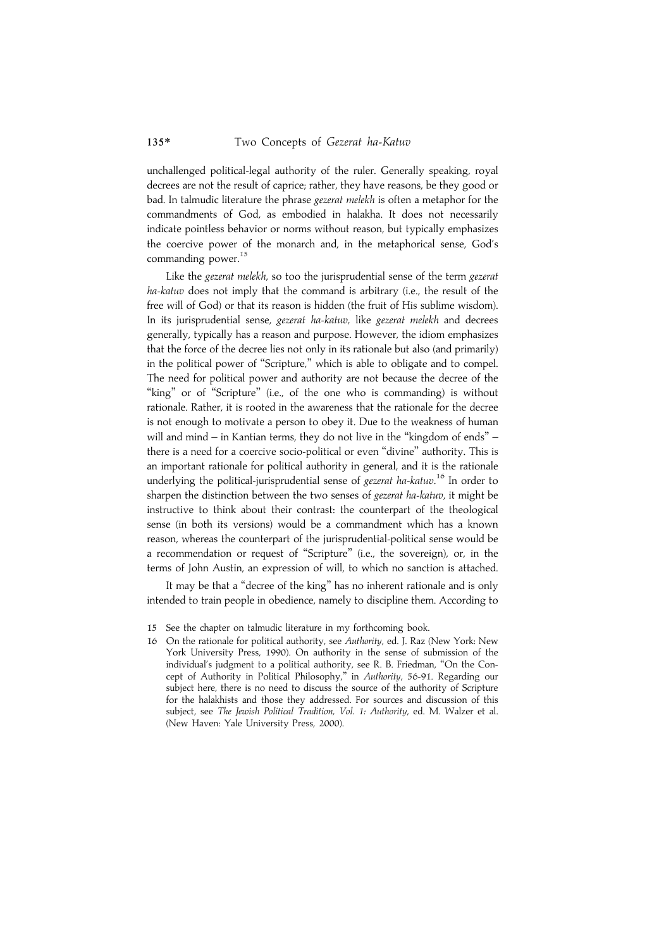unchallenged political-legal authority of the ruler. Generally speaking, royal decrees are not the result of caprice; rather, they have reasons, be they good or bad. In talmudic literature the phrase gezerat melekh is often a metaphor for the commandments of God, as embodied in halakha. It does not necessarily indicate pointless behavior or norms without reason, but typically emphasizes the coercive power of the monarch and, in the metaphorical sense, God's commanding power.<sup>15</sup>

Like the gezerat melekh, so too the jurisprudential sense of the term gezerat ha-katuv does not imply that the command is arbitrary (i.e., the result of the free will of God) or that its reason is hidden (the fruit of His sublime wisdom). In its jurisprudential sense, gezerat ha-katuv, like gezerat melekh and decrees generally, typically has a reason and purpose. However, the idiom emphasizes that the force of the decree lies not only in its rationale but also (and primarily) in the political power of ''Scripture,'' which is able to obligate and to compel. The need for political power and authority are not because the decree of the "king" or of "Scripture" (i.e., of the one who is commanding) is without rationale. Rather, it is rooted in the awareness that the rationale for the decree is not enough to motivate a person to obey it. Due to the weakness of human will and mind – in Kantian terms, they do not live in the "kingdom of ends" – there is a need for a coercive socio-political or even ''divine'' authority. This is an important rationale for political authority in general, and it is the rationale underlying the political-jurisprudential sense of *gezerat ha-katuv*.<sup>16</sup> In order to sharpen the distinction between the two senses of gezerat ha-katuv, it might be instructive to think about their contrast: the counterpart of the theological sense (in both its versions) would be a commandment which has a known reason, whereas the counterpart of the jurisprudential-political sense would be a recommendation or request of ''Scripture'' (i.e., the sovereign), or, in the terms of John Austin, an expression of will, to which no sanction is attached.

It may be that a "decree of the king" has no inherent rationale and is only intended to train people in obedience, namely to discipline them. According to

16 On the rationale for political authority, see Authority, ed. J. Raz (New York: New York University Press, 1990). On authority in the sense of submission of the individual's judgment to a political authority, see R. B. Friedman, ''On the Concept of Authority in Political Philosophy,'' in Authority, 56-91. Regarding our subject here, there is no need to discuss the source of the authority of Scripture for the halakhists and those they addressed. For sources and discussion of this subject, see The Jewish Political Tradition, Vol. 1: Authority, ed. M. Walzer et al. (New Haven: Yale University Press, 2000).

<sup>15</sup> See the chapter on talmudic literature in my forthcoming book.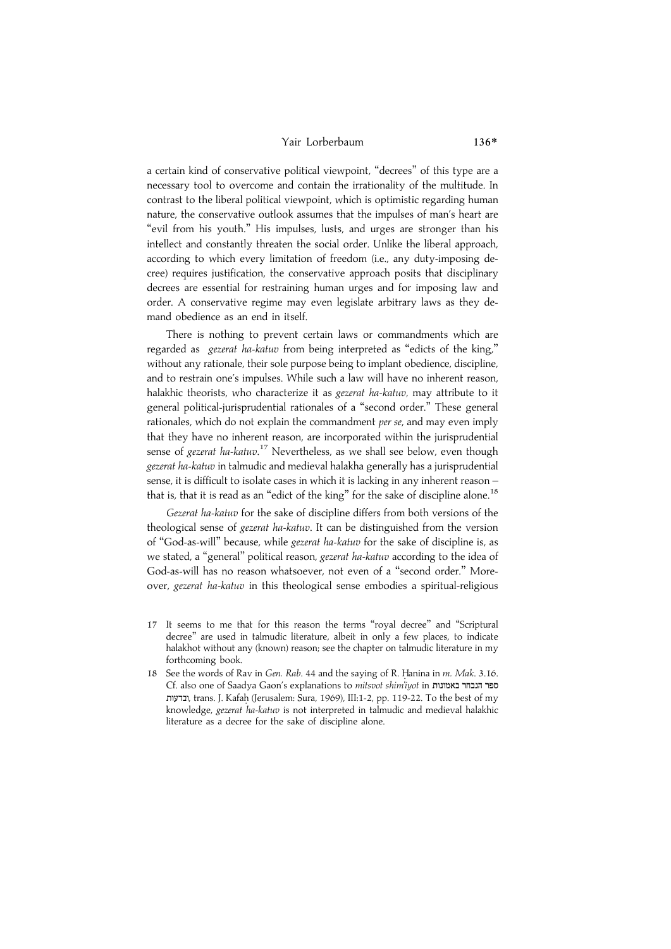#### Yair Lorberbaum 136\*

a certain kind of conservative political viewpoint, ''decrees'' of this type are a necessary tool to overcome and contain the irrationality of the multitude. In contrast to the liberal political viewpoint, which is optimistic regarding human nature, the conservative outlook assumes that the impulses of man's heart are "evil from his youth." His impulses, lusts, and urges are stronger than his intellect and constantly threaten the social order. Unlike the liberal approach, according to which every limitation of freedom (i.e., any duty-imposing decree) requires justification, the conservative approach posits that disciplinary decrees are essential for restraining human urges and for imposing law and order. A conservative regime may even legislate arbitrary laws as they demand obedience as an end in itself.

There is nothing to prevent certain laws or commandments which are regarded as gezerat ha-katuv from being interpreted as ''edicts of the king,'' without any rationale, their sole purpose being to implant obedience, discipline, and to restrain one's impulses. While such a law will have no inherent reason, halakhic theorists, who characterize it as gezerat ha-katuv, may attribute to it general political-jurisprudential rationales of a ''second order.'' These general rationales, which do not explain the commandment per se, and may even imply that they have no inherent reason, are incorporated within the jurisprudential sense of *gezerat ha-katuv*.<sup>17</sup> Nevertheless, as we shall see below, even though gezerat ha-katuv in talmudic and medieval halakha generally has a jurisprudential sense, it is difficult to isolate cases in which it is lacking in any inherent reason – that is, that it is read as an "edict of the king" for the sake of discipline alone.<sup>18</sup>

Gezerat ha-katuv for the sake of discipline differs from both versions of the theological sense of gezerat ha-katuv. It can be distinguished from the version of ''God-as-will'' because, while gezerat ha-katuv for the sake of discipline is, as we stated, a "general" political reason, gezerat ha-katuv according to the idea of God-as-will has no reason whatsoever, not even of a ''second order.'' Moreover, gezerat ha-katuv in this theological sense embodies a spiritual-religious

- 17 It seems to me that for this reason the terms ''royal decree'' and ''Scriptural decree'' are used in talmudic literature, albeit in only a few places, to indicate halakhot without any (known) reason; see the chapter on talmudic literature in my forthcoming book.
- 18 See the words of Rav in Gen. Rab. 44 and the saying of R. Hanina in m. Mak. 3.16. Cf. also one of Saadya Gaon's explanations to mitsvot shim'iyot in ספר הנבחר באמונות ובדעות, trans. J. Kafah (Jerusalem: Sura, 1969), III:1-2, pp. 119-22. To the best of my knowledge, gezerat ha-katuv is not interpreted in talmudic and medieval halakhic literature as a decree for the sake of discipline alone.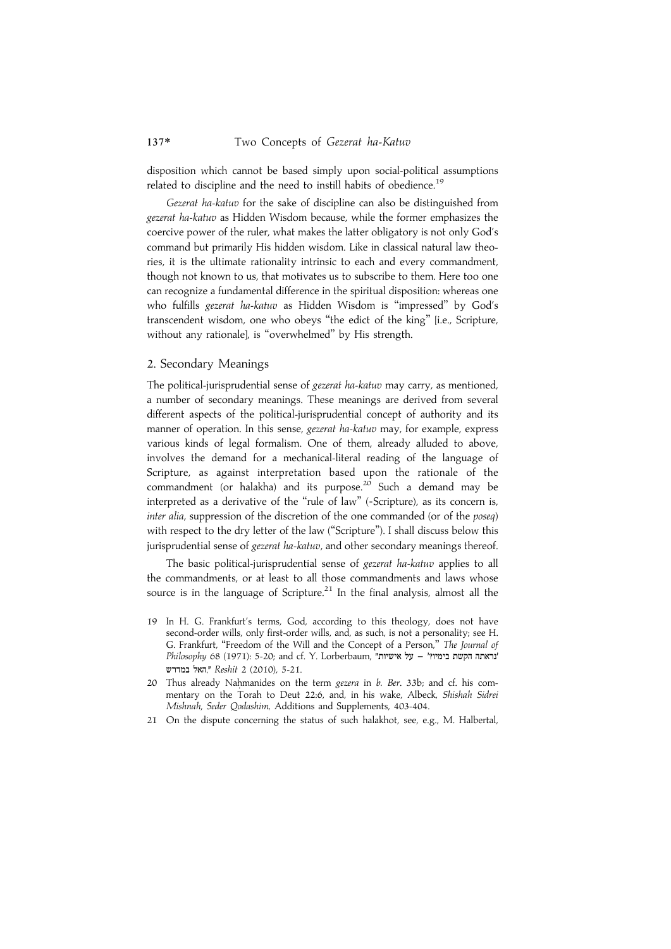disposition which cannot be based simply upon social-political assumptions related to discipline and the need to instill habits of obedience.<sup>19</sup>

Gezerat ha-katuv for the sake of discipline can also be distinguished from gezerat ha-katuv as Hidden Wisdom because, while the former emphasizes the coercive power of the ruler, what makes the latter obligatory is not only God's command but primarily His hidden wisdom. Like in classical natural law theories, it is the ultimate rationality intrinsic to each and every commandment, though not known to us, that motivates us to subscribe to them. Here too one can recognize a fundamental difference in the spiritual disposition: whereas one who fulfills gezerat ha-katuv as Hidden Wisdom is ''impressed'' by God's transcendent wisdom, one who obeys ''the edict of the king'' [i.e., Scripture, without any rationale], is ''overwhelmed'' by His strength.

# 2. Secondary Meanings

The political-jurisprudential sense of gezerat ha-katuv may carry, as mentioned, a number of secondary meanings. These meanings are derived from several different aspects of the political-jurisprudential concept of authority and its manner of operation. In this sense, gezerat ha-katuv may, for example, express various kinds of legal formalism. One of them, already alluded to above, involves the demand for a mechanical-literal reading of the language of Scripture, as against interpretation based upon the rationale of the commandment (or halakha) and its purpose.<sup>20</sup> Such a demand may be interpreted as a derivative of the "rule of law" (=Scripture), as its concern is, inter alia, suppression of the discretion of the one commanded (or of the poseq) with respect to the dry letter of the law (''Scripture''). I shall discuss below this jurisprudential sense of gezerat ha-katuv, and other secondary meanings thereof.

The basic political-jurisprudential sense of gezerat ha-katuv applies to all the commandments, or at least to all those commandments and laws whose source is in the language of Scripture.<sup>21</sup> In the final analysis, almost all the

- 19 In H. G. Frankfurt's terms, God, according to this theology, does not have second-order wills, only first-order wills, and, as such, is not a personality; see H. G. Frankfurt, "Freedom of the Will and the Concept of a Person," The Journal of Philosophy 68 (1971): 5-20; and cf. Y. Lorberbaum, "נראתה הקשת בימיו?' – על אישיות האל במדרש," Reshit 2 (2010), 5-21.
- 20 Thus already Nahmanides on the term gezera in  $b$ . Ber. 33b; and cf. his commentary on the Torah to Deut 22:6, and, in his wake, Albeck, Shishah Sidrei Mishnah, Seder Qodashim, Additions and Supplements, 403-404.
- 21 On the dispute concerning the status of such halakhot, see, e.g., M. Halbertal,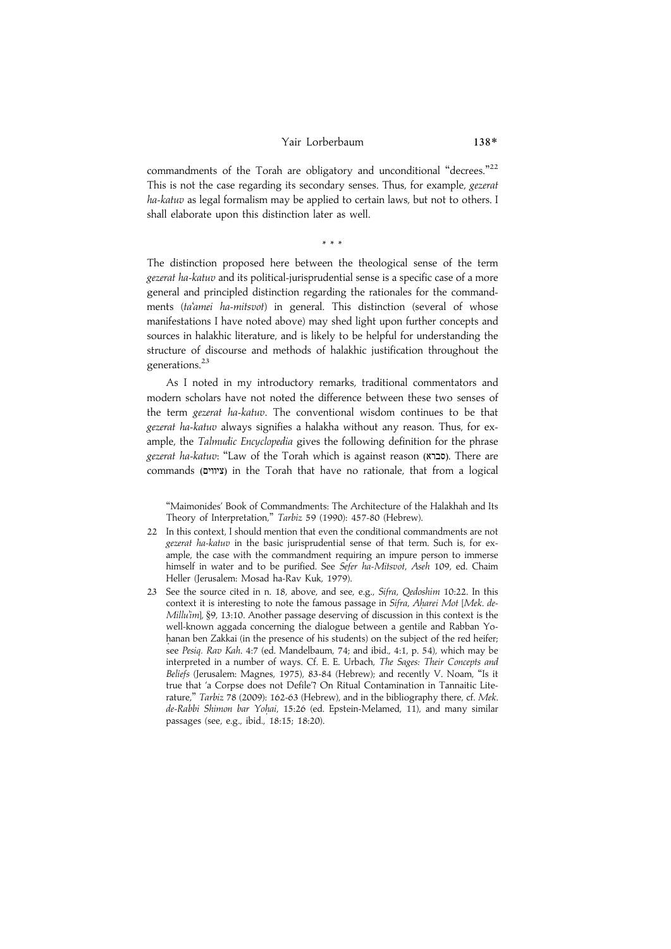#### Yair Lorberbaum 138\*

commandments of the Torah are obligatory and unconditional "decrees."<sup>22</sup> This is not the case regarding its secondary senses. Thus, for example, gezerat ha-katuv as legal formalism may be applied to certain laws, but not to others. I shall elaborate upon this distinction later as well.

\*\*\*

The distinction proposed here between the theological sense of the term gezerat ha-katuv and its political-jurisprudential sense is a specific case of a more general and principled distinction regarding the rationales for the commandments (ta'amei ha-mitsvot) in general. This distinction (several of whose manifestations I have noted above) may shed light upon further concepts and sources in halakhic literature, and is likely to be helpful for understanding the structure of discourse and methods of halakhic justification throughout the generations.<sup>23</sup>

As I noted in my introductory remarks, traditional commentators and modern scholars have not noted the difference between these two senses of the term gezerat ha-katuv. The conventional wisdom continues to be that gezerat ha-katuv always signifies a halakha without any reason. Thus, for example, the Talmudic Encyclopedia gives the following definition for the phrase gezerat ha-katuv: "Law of the Torah which is against reason (סברא). There are commands (ציווים) in the Torah that have no rationale, that from a logical

''Maimonides' Book of Commandments: The Architecture of the Halakhah and Its Theory of Interpretation," Tarbiz 59 (1990): 457-80 (Hebrew).

- 22 In this context, I should mention that even the conditional commandments are not gezerat ha-katuv in the basic jurisprudential sense of that term. Such is, for example, the case with the commandment requiring an impure person to immerse himself in water and to be purified. See Sefer ha-Mitsvot, Aseh 109, ed. Chaim Heller (Jerusalem: Mosad ha-Rav Kuk, 1979).
- 23 See the source cited in n. 18, above, and see, e.g., Sifra, Qedoshim 10:22. In this context it is interesting to note the famous passage in Sifra, Aharei Mot [Mek. de-Millu'im], §9, 13:10. Another passage deserving of discussion in this context is the well-known aggada concerning the dialogue between a gentile and Rabban Yohanan ben Zakkai (in the presence of his students) on the subject of the red heifer; see Pesiq. Rav Kah. 4:7 (ed. Mandelbaum, 74; and ibid., 4:1, p. 54), which may be interpreted in a number of ways. Cf. E. E. Urbach, The Sages: Their Concepts and Beliefs (Jerusalem: Magnes, 1975), 83-84 (Hebrew); and recently V. Noam, ''Is it true that 'a Corpse does not Defile'? On Ritual Contamination in Tannaitic Literature," Tarbiz 78 (2009): 162-63 (Hebrew), and in the bibliography there, cf. Mek. de-Rabbi Shimon bar Yohai, 15:26 (ed. Epstein-Melamed, 11), and many similar passages (see, e.g., ibid., 18:15; 18:20).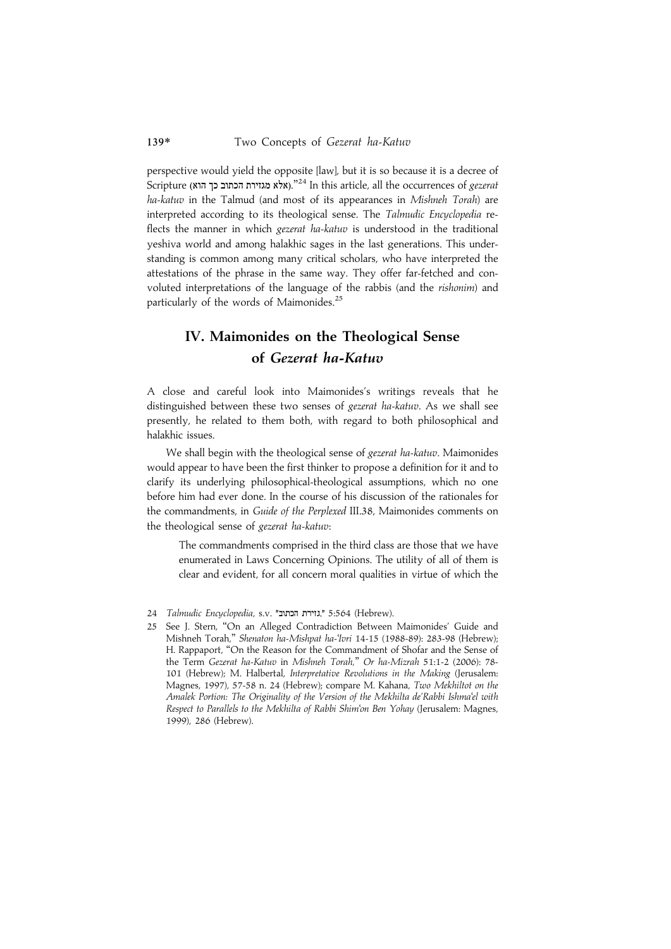perspective would yield the opposite [law], but it is so because it is a decree of  $\bar{\rm Sc}$ ואלא מגזירת הכתוב כך הוא)." $^{24}$  In this article, all the occurrences of  $gezer$ ha-katuv in the Talmud (and most of its appearances in Mishneh Torah) are interpreted according to its theological sense. The Talmudic Encyclopedia reflects the manner in which gezerat ha-katuv is understood in the traditional yeshiva world and among halakhic sages in the last generations. This understanding is common among many critical scholars, who have interpreted the attestations of the phrase in the same way. They offer far-fetched and convoluted interpretations of the language of the rabbis (and the rishonim) and particularly of the words of Maimonides.<sup>25</sup>

# IV. Maimonides on the Theological Sense of Gezerat ha-Katuv

A close and careful look into Maimonides's writings reveals that he distinguished between these two senses of gezerat ha-katuv. As we shall see presently, he related to them both, with regard to both philosophical and halakhic issues.

We shall begin with the theological sense of gezerat ha-katuv. Maimonides would appear to have been the first thinker to propose a definition for it and to clarify its underlying philosophical-theological assumptions, which no one before him had ever done. In the course of his discussion of the rationales for the commandments, in Guide of the Perplexed III.38, Maimonides comments on the theological sense of gezerat ha-katuv:

The commandments comprised in the third class are those that we have enumerated in Laws Concerning Opinions. The utility of all of them is clear and evident, for all concern moral qualities in virtue of which the

<sup>24</sup> Talmudic Encyclopedia, s.v. "גוירת הכתוב", 5:564 (Hebrew).

<sup>25</sup> See J. Stern, ''On an Alleged Contradiction Between Maimonides' Guide and Mishneh Torah,'' Shenaton ha-Mishpat ha-'Ivri 14-15 (1988-89): 283-98 (Hebrew); H. Rappaport, ''On the Reason for the Commandment of Shofar and the Sense of the Term Gezerat ha-Katuv in Mishneh Torah,'' Or ha-Mizrah 51:1-2 (2006): 78- 101 (Hebrew); M. Halbertal, Interpretative Revolutions in the Making (Jerusalem: Magnes, 1997), 57-58 n. 24 (Hebrew); compare M. Kahana, Two Mekhiltot on the Amalek Portion: The Originality of the Version of the Mekhilta de'Rabbi Ishma'el with Respect to Parallels to the Mekhilta of Rabbi Shim'on Ben Yohay (Jerusalem: Magnes, 1999), 286 (Hebrew).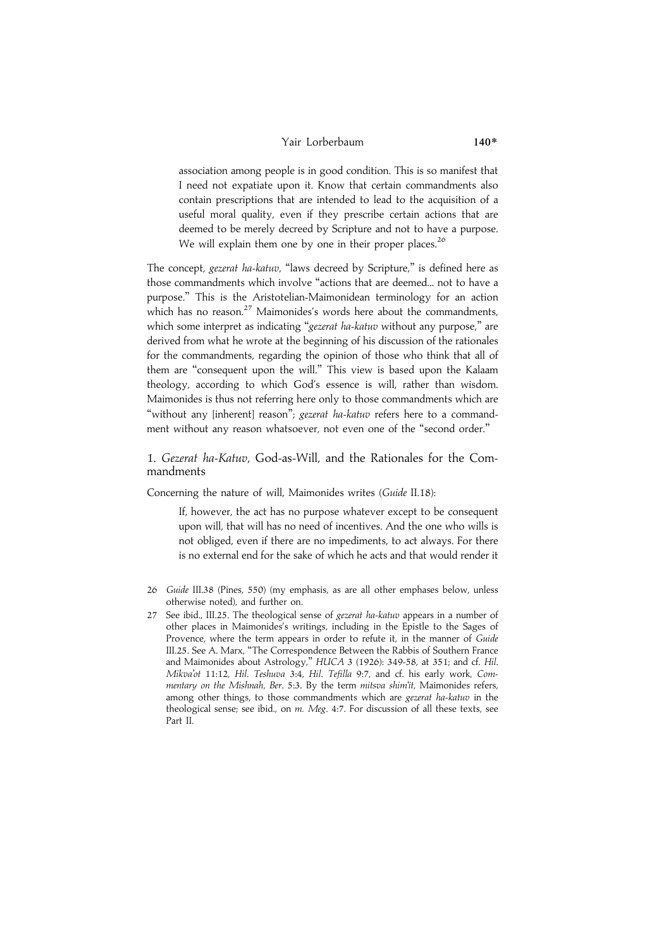## Yair Lorberbaum 140\*

association among people is in good condition. This is so manifest that I need not expatiate upon it. Know that certain commandments also contain prescriptions that are intended to lead to the acquisition of a useful moral quality, even if they prescribe certain actions that are deemed to be merely decreed by Scripture and not to have a purpose. We will explain them one by one in their proper places.<sup>26</sup>

The concept, gezerat ha-katuv, ''laws decreed by Scripture,'' is defined here as those commandments which involve ''actions that are deemed... not to have a purpose.'' This is the Aristotelian-Maimonidean terminology for an action which has no reason.<sup>27</sup> Maimonides's words here about the commandments, which some interpret as indicating "gezerat ha-katuv without any purpose," are derived from what he wrote at the beginning of his discussion of the rationales for the commandments, regarding the opinion of those who think that all of them are ''consequent upon the will.'' This view is based upon the Kalaam theology, according to which God's essence is will, rather than wisdom. Maimonides is thus not referring here only to those commandments which are "without any [inherent] reason"; gezerat ha-katuv refers here to a commandment without any reason whatsoever, not even one of the "second order."

#### 1. Gezerat ha-Katuv, God-as-Will, and the Rationales for the Commandments

Concerning the nature of will, Maimonides writes (Guide II.18):

If, however, the act has no purpose whatever except to be consequent upon will, that will has no need of incentives. And the one who wills is not obliged, even if there are no impediments, to act always. For there is no external end for the sake of which he acts and that would render it

- 26 Guide III.38 (Pines, 550) (my emphasis, as are all other emphases below, unless otherwise noted), and further on.
- 27 See ibid., III.25. The theological sense of gezerat ha-katuv appears in a number of other places in Maimonides's writings, including in the Epistle to the Sages of Provence, where the term appears in order to refute it, in the manner of Guide III.25. See A. Marx, ''The Correspondence Between the Rabbis of Southern France and Maimonides about Astrology,'' HUCA 3 (1926): 349-58, at 351; and cf. Hil. Mikva'ot 11:12, Hil. Teshuva 3:4, Hil. Tefilla 9:7, and cf. his early work, Commentary on the Mishnah, Ber. 5:3. By the term mitsva shim'it, Maimonides refers, among other things, to those commandments which are gezerat ha-katuv in the theological sense; see ibid., on m. Meg. 4:7. For discussion of all these texts, see Part II.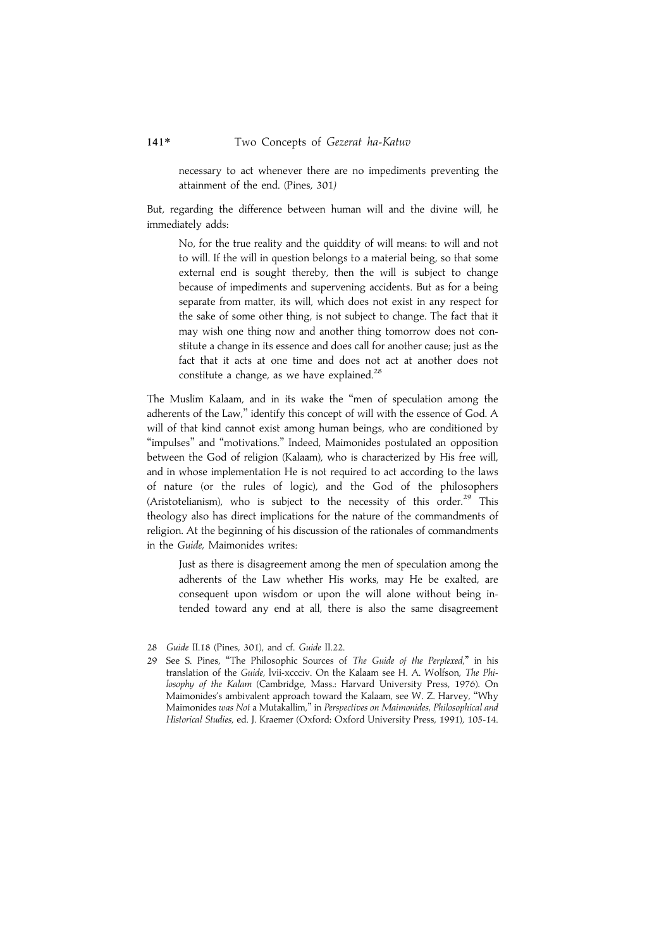necessary to act whenever there are no impediments preventing the attainment of the end. (Pines, 301)

But, regarding the difference between human will and the divine will, he immediately adds:

No, for the true reality and the quiddity of will means: to will and not to will. If the will in question belongs to a material being, so that some external end is sought thereby, then the will is subject to change because of impediments and supervening accidents. But as for a being separate from matter, its will, which does not exist in any respect for the sake of some other thing, is not subject to change. The fact that it may wish one thing now and another thing tomorrow does not constitute a change in its essence and does call for another cause; just as the fact that it acts at one time and does not act at another does not constitute a change, as we have explained.<sup>28</sup>

The Muslim Kalaam, and in its wake the ''men of speculation among the adherents of the Law,'' identify this concept of will with the essence of God. A will of that kind cannot exist among human beings, who are conditioned by ''impulses'' and ''motivations.'' Indeed, Maimonides postulated an opposition between the God of religion (Kalaam), who is characterized by His free will, and in whose implementation He is not required to act according to the laws of nature (or the rules of logic), and the God of the philosophers (Aristotelianism), who is subject to the necessity of this order.<sup>29</sup> This theology also has direct implications for the nature of the commandments of religion. At the beginning of his discussion of the rationales of commandments in the Guide, Maimonides writes:

Just as there is disagreement among the men of speculation among the adherents of the Law whether His works, may He be exalted, are consequent upon wisdom or upon the will alone without being intended toward any end at all, there is also the same disagreement

<sup>28</sup> Guide II.18 (Pines, 301), and cf. Guide II.22.

<sup>29</sup> See S. Pines, "The Philosophic Sources of The Guide of the Perplexed," in his translation of the Guide, lvii-xccciv. On the Kalaam see H. A. Wolfson, The Philosophy of the Kalam (Cambridge, Mass.: Harvard University Press, 1976). On Maimonides's ambivalent approach toward the Kalaam, see W. Z. Harvey, ''Why Maimonides was Not a Mutakallim,'' in Perspectives on Maimonides, Philosophical and Historical Studies, ed. J. Kraemer (Oxford: Oxford University Press, 1991), 105-14.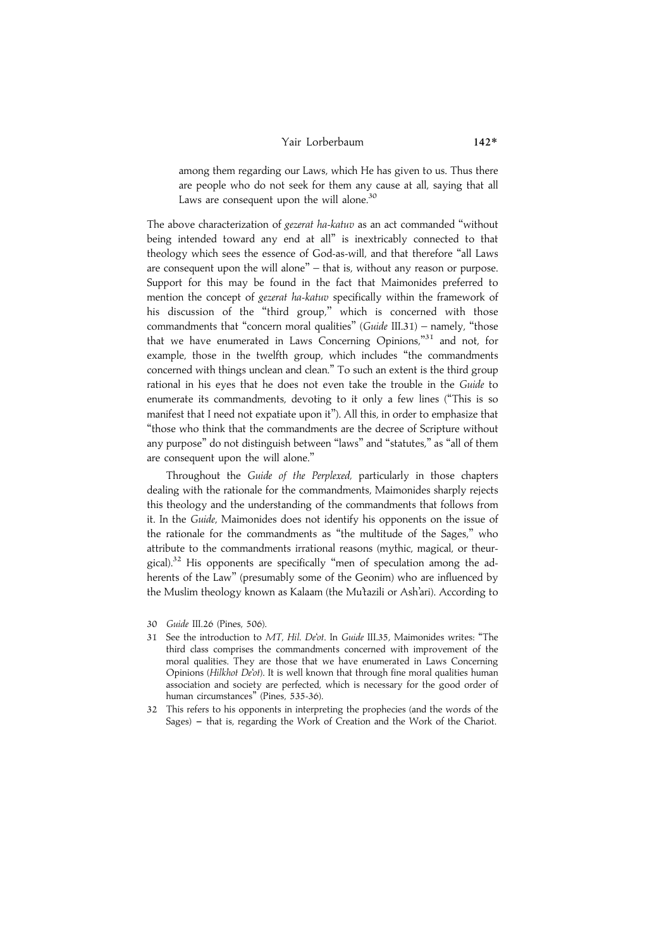# Yair Lorberbaum 142\*

among them regarding our Laws, which He has given to us. Thus there are people who do not seek for them any cause at all, saying that all Laws are consequent upon the will alone. $30$ 

The above characterization of *gezerat ha-katuv* as an act commanded "without being intended toward any end at all'' is inextricably connected to that theology which sees the essence of God-as-will, and that therefore ''all Laws are consequent upon the will alone'' – that is, without any reason or purpose. Support for this may be found in the fact that Maimonides preferred to mention the concept of gezerat ha-katuv specifically within the framework of his discussion of the "third group," which is concerned with those commandments that "concern moral qualities" (Guide III.31) – namely, "those that we have enumerated in Laws Concerning Opinions,"31 and not, for example, those in the twelfth group, which includes "the commandments concerned with things unclean and clean.'' To such an extent is the third group rational in his eyes that he does not even take the trouble in the Guide to enumerate its commandments, devoting to it only a few lines (''This is so manifest that I need not expatiate upon it''). All this, in order to emphasize that ''those who think that the commandments are the decree of Scripture without any purpose'' do not distinguish between ''laws'' and ''statutes,'' as ''all of them are consequent upon the will alone.''

Throughout the Guide of the Perplexed, particularly in those chapters dealing with the rationale for the commandments, Maimonides sharply rejects this theology and the understanding of the commandments that follows from it. In the Guide, Maimonides does not identify his opponents on the issue of the rationale for the commandments as ''the multitude of the Sages,'' who attribute to the commandments irrational reasons (mythic, magical, or theurgical).<sup>32</sup> His opponents are specifically "men of speculation among the adherents of the Law'' (presumably some of the Geonim) who are influenced by the Muslim theology known as Kalaam (the Mu'tazili or Ash'ari). According to

- 31 See the introduction to MT, Hil. De'ot. In Guide III.35, Maimonides writes: "The third class comprises the commandments concerned with improvement of the moral qualities. They are those that we have enumerated in Laws Concerning Opinions (Hilkhot De'ot). It is well known that through fine moral qualities human association and society are perfected, which is necessary for the good order of human circumstances'' (Pines, 535-36).
- 32 This refers to his opponents in interpreting the prophecies (and the words of the Sages)  $-$  that is, regarding the Work of Creation and the Work of the Chariot.

<sup>30</sup> Guide III.26 (Pines, 506).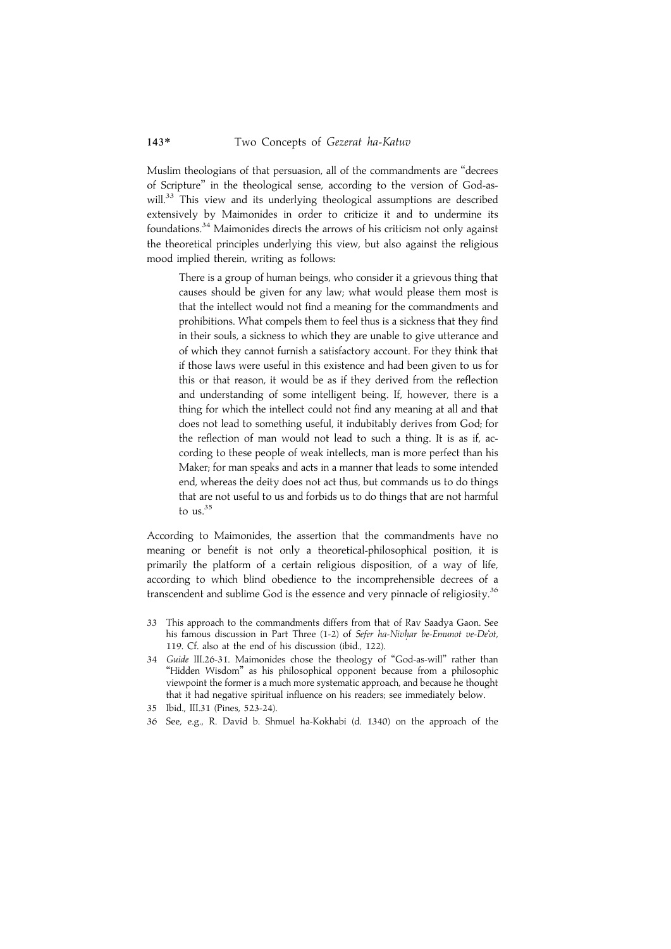Muslim theologians of that persuasion, all of the commandments are ''decrees of Scripture'' in the theological sense, according to the version of God-aswill.<sup>33</sup> This view and its underlying theological assumptions are described extensively by Maimonides in order to criticize it and to undermine its foundations.34 Maimonides directs the arrows of his criticism not only against the theoretical principles underlying this view, but also against the religious mood implied therein, writing as follows:

There is a group of human beings, who consider it a grievous thing that causes should be given for any law; what would please them most is that the intellect would not find a meaning for the commandments and prohibitions. What compels them to feel thus is a sickness that they find in their souls, a sickness to which they are unable to give utterance and of which they cannot furnish a satisfactory account. For they think that if those laws were useful in this existence and had been given to us for this or that reason, it would be as if they derived from the reflection and understanding of some intelligent being. If, however, there is a thing for which the intellect could not find any meaning at all and that does not lead to something useful, it indubitably derives from God; for the reflection of man would not lead to such a thing. It is as if, according to these people of weak intellects, man is more perfect than his Maker; for man speaks and acts in a manner that leads to some intended end, whereas the deity does not act thus, but commands us to do things that are not useful to us and forbids us to do things that are not harmful to us.<sup>35</sup>

According to Maimonides, the assertion that the commandments have no meaning or benefit is not only a theoretical-philosophical position, it is primarily the platform of a certain religious disposition, of a way of life, according to which blind obedience to the incomprehensible decrees of a transcendent and sublime God is the essence and very pinnacle of religiosity.<sup>36</sup>

- 33 This approach to the commandments differs from that of Rav Saadya Gaon. See his famous discussion in Part Three (1-2) of Sefer ha-Nivhar be-Emunot ve-De'ot, 119. Cf. also at the end of his discussion (ibid., 122).
- 34 Guide III.26-31. Maimonides chose the theology of ''God-as-will'' rather than "Hidden Wisdom" as his philosophical opponent because from a philosophic viewpoint the former is a much more systematic approach, and because he thought that it had negative spiritual influence on his readers; see immediately below.
- 35 Ibid., III.31 (Pines, 523-24).
- 36 See, e.g., R. David b. Shmuel ha-Kokhabi (d. 1340) on the approach of the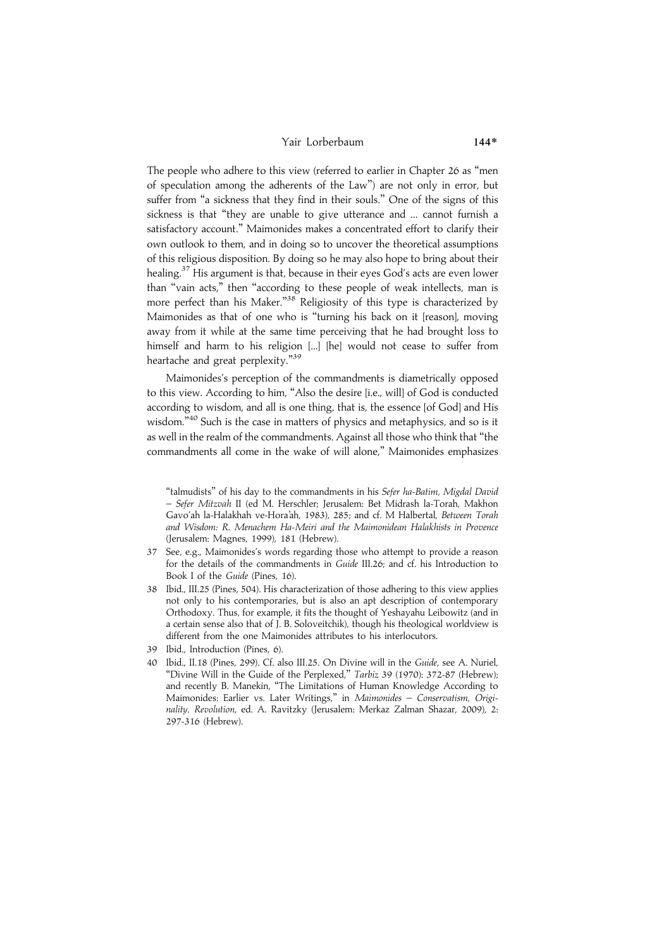#### Yair Lorberbaum 144\*

The people who adhere to this view (referred to earlier in Chapter 26 as ''men of speculation among the adherents of the Law'') are not only in error, but suffer from "a sickness that they find in their souls." One of the signs of this sickness is that ''they are unable to give utterance and ... cannot furnish a satisfactory account.'' Maimonides makes a concentrated effort to clarify their own outlook to them, and in doing so to uncover the theoretical assumptions of this religious disposition. By doing so he may also hope to bring about their healing.<sup>37</sup> His argument is that, because in their eyes God's acts are even lower than ''vain acts,'' then ''according to these people of weak intellects, man is more perfect than his Maker."<sup>38</sup> Religiosity of this type is characterized by Maimonides as that of one who is "turning his back on it [reason], moving away from it while at the same time perceiving that he had brought loss to himself and harm to his religion [...] [he] would not cease to suffer from heartache and great perplexity."<sup>39</sup>

Maimonides's perception of the commandments is diametrically opposed to this view. According to him, ''Also the desire [i.e., will] of God is conducted according to wisdom, and all is one thing, that is, the essence [of God] and His wisdom."<sup>40</sup> Such is the case in matters of physics and metaphysics, and so is it as well in the realm of the commandments. Against all those who think that ''the commandments all come in the wake of will alone,'' Maimonides emphasizes

- 37 See, e.g., Maimonides's words regarding those who attempt to provide a reason for the details of the commandments in Guide III.26; and cf. his Introduction to Book I of the Guide (Pines, 16).
- 38 Ibid., III.25 (Pines, 504). His characterization of those adhering to this view applies not only to his contemporaries, but is also an apt description of contemporary Orthodoxy. Thus, for example, it fits the thought of Yeshayahu Leibowitz (and in a certain sense also that of J. B. Soloveitchik), though his theological worldview is different from the one Maimonides attributes to his interlocutors.
- 39 Ibid., Introduction (Pines, 6).
- 40 Ibid., II.18 (Pines, 299). Cf. also III.25. On Divine will in the Guide, see A. Nuriel, "Divine Will in the Guide of the Perplexed," Tarbiz 39 (1970): 372-87 (Hebrew): and recently B. Manekin, ''The Limitations of Human Knowledge According to Maimonides: Earlier vs. Later Writings," in Maimonides - Conservatism, Originality, Revolution, ed. A. Ravitzky (Jerusalem: Merkaz Zalman Shazar, 2009), 2: 297-316 (Hebrew).

<sup>&#</sup>x27;'talmudists'' of his day to the commandments in his Sefer ha-Batim, Migdal David – Sefer Mitzvah II (ed M. Herschler; Jerusalem: Bet Midrash la-Torah, Makhon Gavo'ah la-Halakhah ve-Hora'ah, 1983), 285; and cf. M Halbertal, Between Torah and Wisdom: R. Menachem Ha-Meiri and the Maimonidean Halakhists in Provence (Jerusalem: Magnes, 1999), 181 (Hebrew).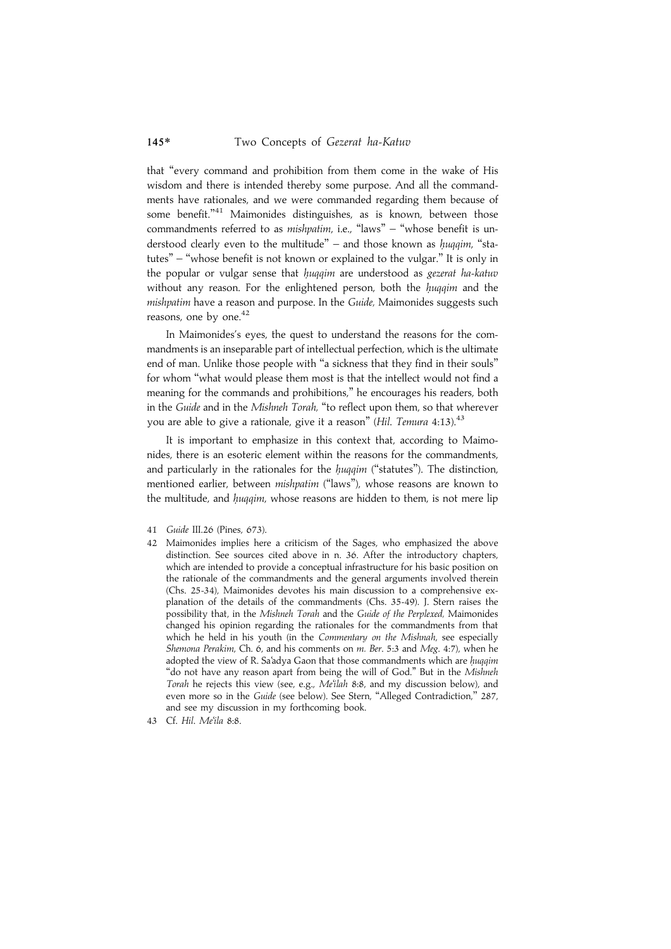that ''every command and prohibition from them come in the wake of His wisdom and there is intended thereby some purpose. And all the commandments have rationales, and we were commanded regarding them because of some benefit."<sup>41</sup> Maimonides distinguishes, as is known, between those commandments referred to as *mishpatim*, i.e., "laws" – "whose benefit is understood clearly even to the multitude" – and those known as huggim, "statutes'' – ''whose benefit is not known or explained to the vulgar.'' It is only in the popular or vulgar sense that huqqim are understood as gezerat ha-katuv without any reason. For the enlightened person, both the huggim and the mishpatim have a reason and purpose. In the Guide, Maimonides suggests such reasons, one by one. $42$ 

In Maimonides's eyes, the quest to understand the reasons for the commandments is an inseparable part of intellectual perfection, which is the ultimate end of man. Unlike those people with "a sickness that they find in their souls" for whom ''what would please them most is that the intellect would not find a meaning for the commands and prohibitions,'' he encourages his readers, both in the Guide and in the Mishneh Torah, "to reflect upon them, so that wherever you are able to give a rationale, give it a reason" (Hil. Temura 4:13).<sup>43</sup>

It is important to emphasize in this context that, according to Maimonides, there is an esoteric element within the reasons for the commandments, and particularly in the rationales for the huggim ("statutes"). The distinction, mentioned earlier, between mishpatim ("laws"), whose reasons are known to the multitude, and hugqim, whose reasons are hidden to them, is not mere lip

- 42 Maimonides implies here a criticism of the Sages, who emphasized the above distinction. See sources cited above in n. 36. After the introductory chapters, which are intended to provide a conceptual infrastructure for his basic position on the rationale of the commandments and the general arguments involved therein (Chs. 25-34), Maimonides devotes his main discussion to a comprehensive explanation of the details of the commandments (Chs. 35-49). J. Stern raises the possibility that, in the Mishneh Torah and the Guide of the Perplexed, Maimonides changed his opinion regarding the rationales for the commandments from that which he held in his youth (in the Commentary on the Mishnah, see especially Shemona Perakim, Ch. 6, and his comments on m. Ber. 5:3 and Meg. 4:7), when he adopted the view of R. Sa'adya Gaon that those commandments which are huggim "do not have any reason apart from being the will of God." But in the Mishneh Torah he rejects this view (see, e.g., Me'ilah 8:8, and my discussion below), and even more so in the Guide (see below). See Stern, "Alleged Contradiction," 287, and see my discussion in my forthcoming book.
- 43 Cf. Hil. Me'ila 8:8.

<sup>41</sup> Guide III.26 (Pines, 673).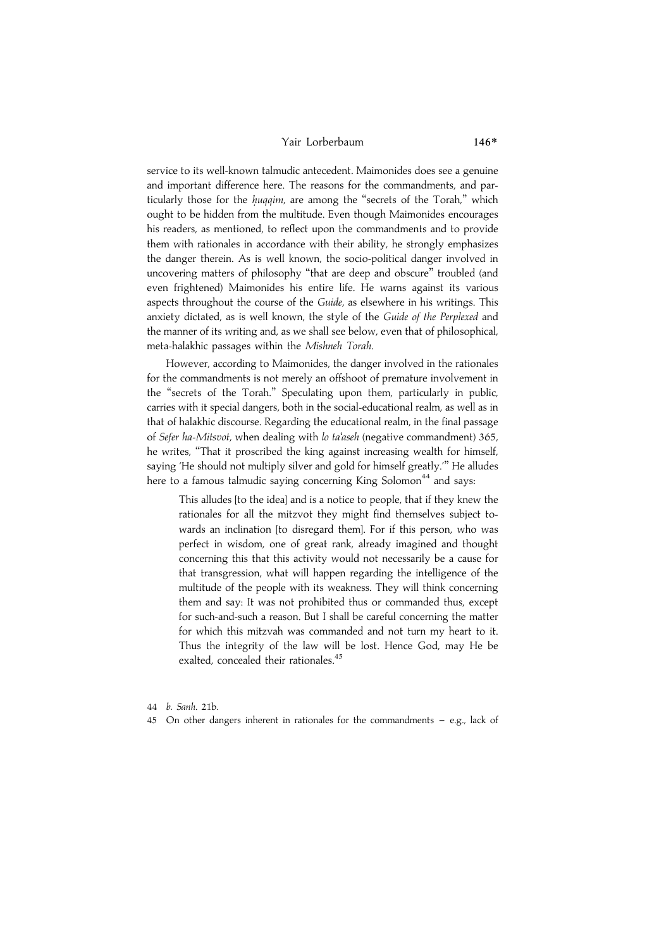#### Yair Lorberbaum 146\*

service to its well-known talmudic antecedent. Maimonides does see a genuine and important difference here. The reasons for the commandments, and particularly those for the huqqim, are among the "secrets of the Torah," which ought to be hidden from the multitude. Even though Maimonides encourages his readers, as mentioned, to reflect upon the commandments and to provide them with rationales in accordance with their ability, he strongly emphasizes the danger therein. As is well known, the socio-political danger involved in uncovering matters of philosophy ''that are deep and obscure'' troubled (and even frightened) Maimonides his entire life. He warns against its various aspects throughout the course of the Guide, as elsewhere in his writings. This anxiety dictated, as is well known, the style of the Guide of the Perplexed and the manner of its writing and, as we shall see below, even that of philosophical, meta-halakhic passages within the Mishneh Torah.

However, according to Maimonides, the danger involved in the rationales for the commandments is not merely an offshoot of premature involvement in the ''secrets of the Torah.'' Speculating upon them, particularly in public, carries with it special dangers, both in the social-educational realm, as well as in that of halakhic discourse. Regarding the educational realm, in the final passage of Sefer ha-Mitsvot, when dealing with lo ta'aseh (negative commandment) 365, he writes, ''That it proscribed the king against increasing wealth for himself, saying 'He should not multiply silver and gold for himself greatly.''' He alludes here to a famous talmudic saying concerning King Solomon<sup>44</sup> and says:

This alludes [to the idea] and is a notice to people, that if they knew the rationales for all the mitzvot they might find themselves subject towards an inclination [to disregard them]. For if this person, who was perfect in wisdom, one of great rank, already imagined and thought concerning this that this activity would not necessarily be a cause for that transgression, what will happen regarding the intelligence of the multitude of the people with its weakness. They will think concerning them and say: It was not prohibited thus or commanded thus, except for such-and-such a reason. But I shall be careful concerning the matter for which this mitzvah was commanded and not turn my heart to it. Thus the integrity of the law will be lost. Hence God, may He be exalted, concealed their rationales.<sup>45</sup>

- 44 b. Sanh. 21b.
- 45 On other dangers inherent in rationales for the commandments  $-$  e.g., lack of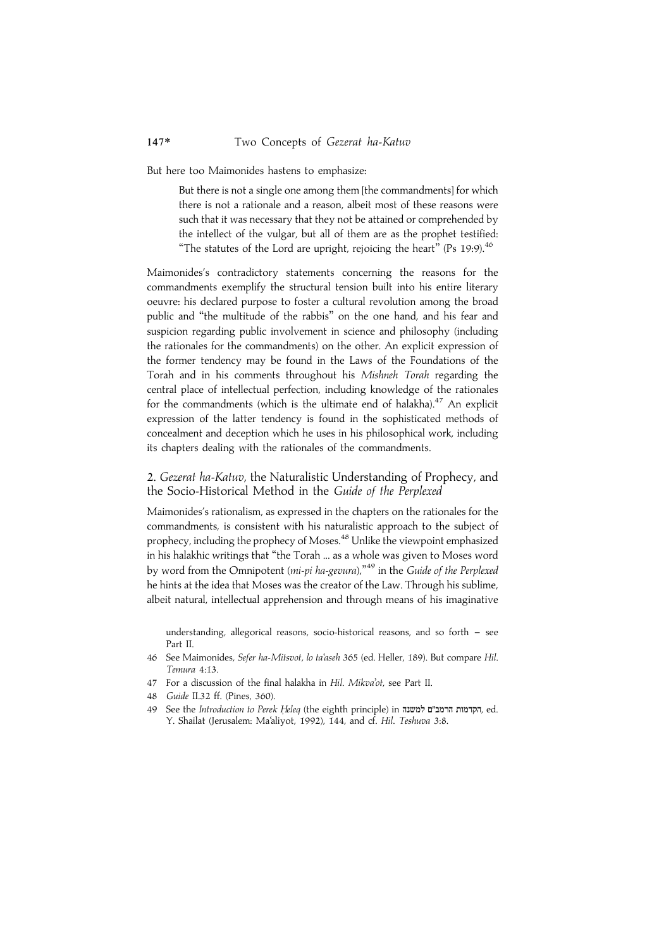But here too Maimonides hastens to emphasize:

But there is not a single one among them [the commandments] for which there is not a rationale and a reason, albeit most of these reasons were such that it was necessary that they not be attained or comprehended by the intellect of the vulgar, but all of them are as the prophet testified: "The statutes of the Lord are upright, rejoicing the heart" (Ps 19:9).<sup>46</sup>

Maimonides's contradictory statements concerning the reasons for the commandments exemplify the structural tension built into his entire literary oeuvre: his declared purpose to foster a cultural revolution among the broad public and ''the multitude of the rabbis'' on the one hand, and his fear and suspicion regarding public involvement in science and philosophy (including the rationales for the commandments) on the other. An explicit expression of the former tendency may be found in the Laws of the Foundations of the Torah and in his comments throughout his Mishneh Torah regarding the central place of intellectual perfection, including knowledge of the rationales for the commandments (which is the ultimate end of halakha).<sup>47</sup> An explicit expression of the latter tendency is found in the sophisticated methods of concealment and deception which he uses in his philosophical work, including its chapters dealing with the rationales of the commandments.

## 2. Gezerat ha-Katuv, the Naturalistic Understanding of Prophecy, and the Socio-Historical Method in the Guide of the Perplexed

Maimonides's rationalism, as expressed in the chapters on the rationales for the commandments, is consistent with his naturalistic approach to the subject of prophecy, including the prophecy of Moses.<sup>48</sup> Unlike the viewpoint emphasized in his halakhic writings that ''the Torah ... as a whole was given to Moses word by word from the Omnipotent (*mi-pi ha-gevura*),"<sup>49</sup> in the *Guide of the Perplexed* he hints at the idea that Moses was the creator of the Law. Through his sublime, albeit natural, intellectual apprehension and through means of his imaginative

understanding, allegorical reasons, socio-historical reasons, and so forth  $-$  see Part II.

- 46 See Maimonides, Sefer ha-Mitsvot, lo ta'aseh 365 (ed. Heller, 189). But compare Hil. Temura 4:13.
- 47 For a discussion of the final halakha in Hil. Mikva'ot, see Part II.
- 48 Guide II.32 ff. (Pines, 360).
- 49 See the Introduction to Perek Heleq (the eighth principle) in הקדמות הרמב"ם למשנה, ed. Y. Shailat (Jerusalem: Ma'aliyot, 1992), 144, and cf. Hil. Teshuva 3:8.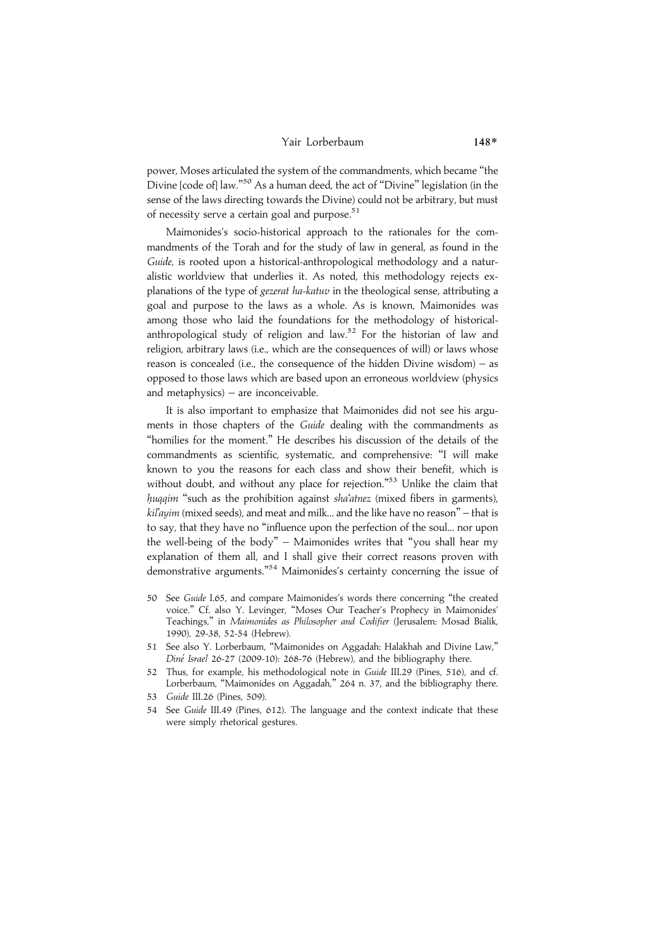#### Yair Lorberbaum 148\*

power, Moses articulated the system of the commandments, which became ''the .<br>Divine [code of] law."<sup>50</sup> As a human deed, the act of "Divine" legislation (in the sense of the laws directing towards the Divine) could not be arbitrary, but must of necessity serve a certain goal and purpose.<sup>51</sup>

Maimonides's socio-historical approach to the rationales for the commandments of the Torah and for the study of law in general, as found in the Guide, is rooted upon a historical-anthropological methodology and a naturalistic worldview that underlies it. As noted, this methodology rejects explanations of the type of gezerat ha-katuv in the theological sense, attributing a goal and purpose to the laws as a whole. As is known, Maimonides was among those who laid the foundations for the methodology of historicalanthropological study of religion and law.<sup>52</sup> For the historian of law and religion, arbitrary laws (i.e., which are the consequences of will) or laws whose reason is concealed (i.e., the consequence of the hidden Divine wisdom) – as opposed to those laws which are based upon an erroneous worldview (physics and metaphysics) – are inconceivable.

It is also important to emphasize that Maimonides did not see his arguments in those chapters of the Guide dealing with the commandments as "homilies for the moment." He describes his discussion of the details of the commandments as scientific, systematic, and comprehensive: ''I will make known to you the reasons for each class and show their benefit, which is without doubt, and without any place for rejection."<sup>53</sup> Unlike the claim that huqqim "such as the prohibition against sha'atnez (mixed fibers in garments), kil'ayim (mixed seeds), and meat and milk... and the like have no reason'' – that is to say, that they have no ''influence upon the perfection of the soul... nor upon the well-being of the body'' – Maimonides writes that ''you shall hear my explanation of them all, and I shall give their correct reasons proven with demonstrative arguments."<sup>54</sup> Maimonides's certainty concerning the issue of

- 50 See Guide I.65, and compare Maimonides's words there concerning ''the created voice.'' Cf. also Y. Levinger, ''Moses Our Teacher's Prophecy in Maimonides' Teachings,'' in Maimonides as Philosopher and Codifier (Jerusalem: Mosad Bialik, 1990), 29-38, 52-54 (Hebrew).
- 51 See also Y. Lorberbaum, ''Maimonides on Aggadah: Halakhah and Divine Law,'' Diné Israel 26-27 (2009-10): 268-76 (Hebrew), and the bibliography there.
- 52 Thus, for example, his methodological note in Guide III.29 (Pines, 516), and cf. Lorberbaum, ''Maimonides on Aggadah,'' 264 n. 37, and the bibliography there.
- 53 Guide III.26 (Pines, 509).
- 54 See Guide III.49 (Pines, 612). The language and the context indicate that these were simply rhetorical gestures.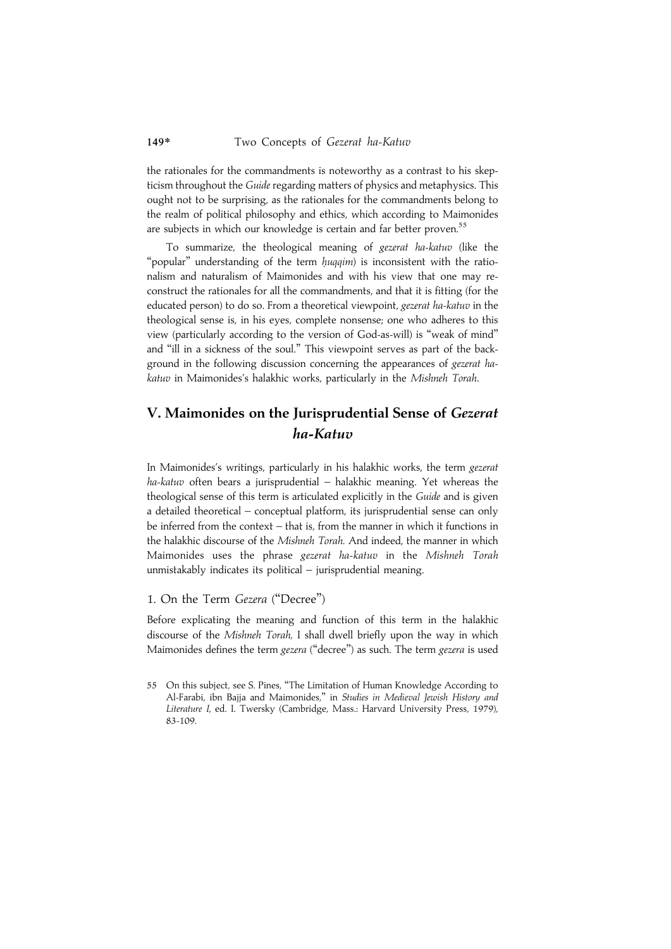the rationales for the commandments is noteworthy as a contrast to his skepticism throughout the Guide regarding matters of physics and metaphysics. This ought not to be surprising, as the rationales for the commandments belong to the realm of political philosophy and ethics, which according to Maimonides are subjects in which our knowledge is certain and far better proven.<sup>55</sup>

To summarize, the theological meaning of gezerat ha-katuv (like the "popular" understanding of the term huqqim) is inconsistent with the rationalism and naturalism of Maimonides and with his view that one may reconstruct the rationales for all the commandments, and that it is fitting (for the educated person) to do so. From a theoretical viewpoint, gezerat ha-katuv in the theological sense is, in his eyes, complete nonsense; one who adheres to this view (particularly according to the version of God-as-will) is ''weak of mind'' and ''ill in a sickness of the soul.'' This viewpoint serves as part of the background in the following discussion concerning the appearances of gezerat hakatuv in Maimonides's halakhic works, particularly in the Mishneh Torah.

# V. Maimonides on the Jurisprudential Sense of Gezerat ha-Katuv

In Maimonides's writings, particularly in his halakhic works, the term gezerat ha-katuv often bears a jurisprudential – halakhic meaning. Yet whereas the theological sense of this term is articulated explicitly in the Guide and is given a detailed theoretical – conceptual platform, its jurisprudential sense can only be inferred from the context – that is, from the manner in which it functions in the halakhic discourse of the Mishneh Torah. And indeed, the manner in which Maimonides uses the phrase gezerat ha-katuv in the Mishneh Torah unmistakably indicates its political – jurisprudential meaning.

# 1. On the Term Gezera (''Decree'')

Before explicating the meaning and function of this term in the halakhic discourse of the Mishneh Torah, I shall dwell briefly upon the way in which Maimonides defines the term gezera ("decree") as such. The term gezera is used

<sup>55</sup> On this subject, see S. Pines, ''The Limitation of Human Knowledge According to Al-Farabi, ibn Bajja and Maimonides,'' in Studies in Medieval Jewish History and Literature I, ed. I. Twersky (Cambridge, Mass.: Harvard University Press, 1979), 83-109.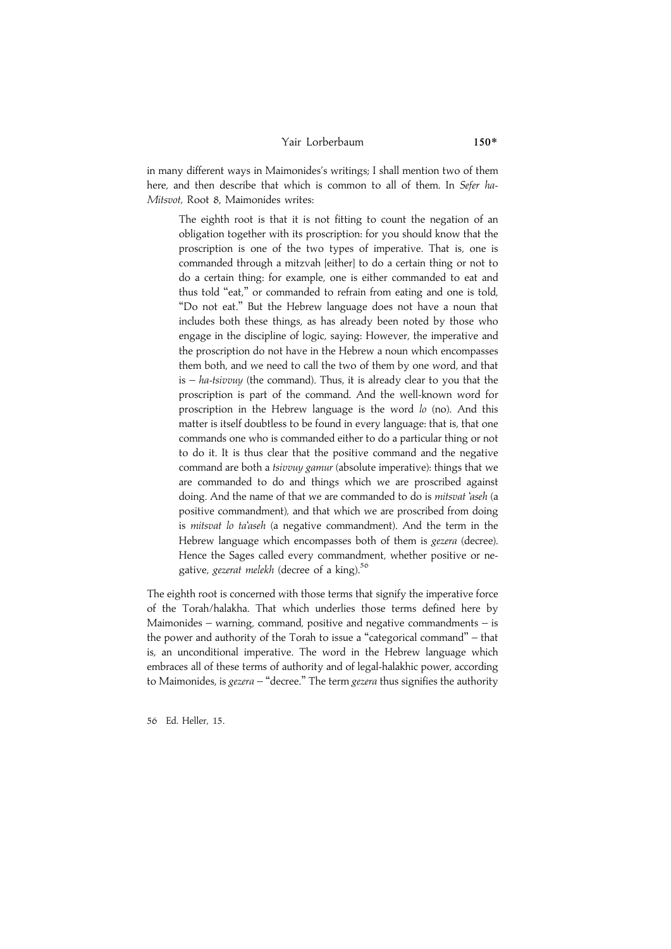#### Yair Lorberbaum 150\*

in many different ways in Maimonides's writings; I shall mention two of them here, and then describe that which is common to all of them. In Sefer ha-Mitsvot, Root 8, Maimonides writes:

The eighth root is that it is not fitting to count the negation of an obligation together with its proscription: for you should know that the proscription is one of the two types of imperative. That is, one is commanded through a mitzvah [either] to do a certain thing or not to do a certain thing: for example, one is either commanded to eat and thus told "eat," or commanded to refrain from eating and one is told, ''Do not eat.'' But the Hebrew language does not have a noun that includes both these things, as has already been noted by those who engage in the discipline of logic, saying: However, the imperative and the proscription do not have in the Hebrew a noun which encompasses them both, and we need to call the two of them by one word, and that is  $-$  ha-tsivvuy (the command). Thus, it is already clear to you that the proscription is part of the command. And the well-known word for proscription in the Hebrew language is the word  $lo$  (no). And this matter is itself doubtless to be found in every language: that is, that one commands one who is commanded either to do a particular thing or not to do it. It is thus clear that the positive command and the negative command are both a *tsivvuy gamur* (absolute imperative): things that we are commanded to do and things which we are proscribed against doing. And the name of that we are commanded to do is mitsvat 'aseh (a positive commandment), and that which we are proscribed from doing is mitsvat lo ta'aseh (a negative commandment). And the term in the Hebrew language which encompasses both of them is *gezera* (decree). Hence the Sages called every commandment, whether positive or negative, gezerat melekh (decree of a king).<sup>56</sup>

The eighth root is concerned with those terms that signify the imperative force of the Torah/halakha. That which underlies those terms defined here by Maimonides – warning, command, positive and negative commandments – is the power and authority of the Torah to issue a ''categorical command'' – that is, an unconditional imperative. The word in the Hebrew language which embraces all of these terms of authority and of legal-halakhic power, according to Maimonides, is gezera – "decree." The term gezera thus signifies the authority

56 Ed. Heller, 15.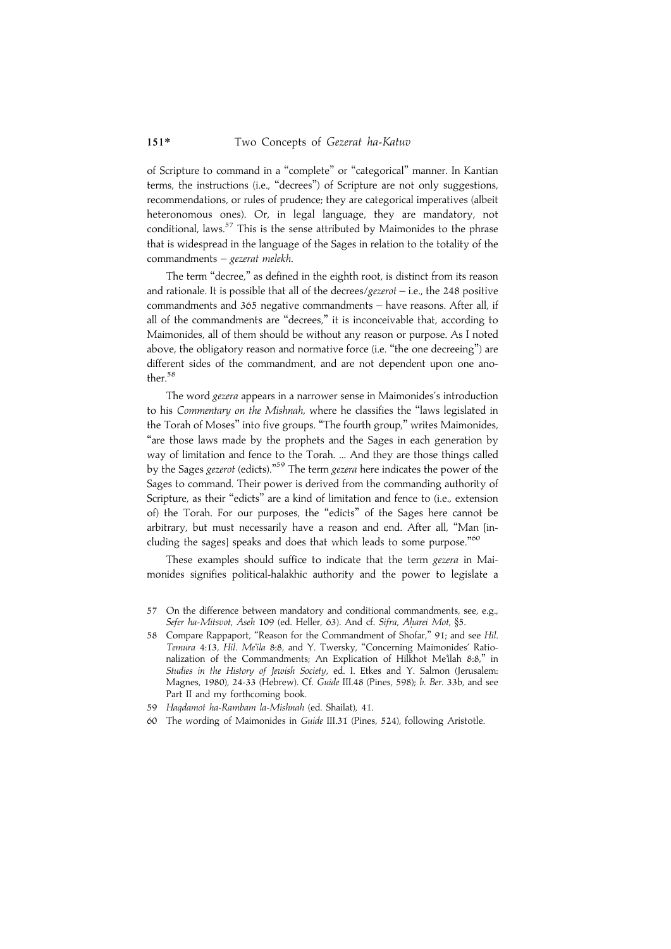of Scripture to command in a ''complete'' or ''categorical'' manner. In Kantian terms, the instructions (i.e., ''decrees'') of Scripture are not only suggestions, recommendations, or rules of prudence; they are categorical imperatives (albeit heteronomous ones). Or, in legal language, they are mandatory, not conditional, laws. $57$  This is the sense attributed by Maimonides to the phrase that is widespread in the language of the Sages in relation to the totality of the commandments – gezerat melekh.

The term "decree," as defined in the eighth root, is distinct from its reason and rationale. It is possible that all of the decrees/ $g$ ezerot – i.e., the 248 positive commandments and 365 negative commandments – have reasons. After all, if all of the commandments are ''decrees,'' it is inconceivable that, according to Maimonides, all of them should be without any reason or purpose. As I noted above, the obligatory reason and normative force (i.e. "the one decreeing") are different sides of the commandment, and are not dependent upon one another.<sup>58</sup>

The word gezera appears in a narrower sense in Maimonides's introduction to his Commentary on the Mishnah, where he classifies the ''laws legislated in the Torah of Moses'' into five groups. ''The fourth group,'' writes Maimonides, ''are those laws made by the prophets and the Sages in each generation by way of limitation and fence to the Torah. ... And they are those things called by the Sages *gezerot* (edicts)."<sup>59</sup> The term *gezera* here indicates the power of the Sages to command. Their power is derived from the commanding authority of Scripture, as their "edicts" are a kind of limitation and fence to (i.e., extension of) the Torah. For our purposes, the ''edicts'' of the Sages here cannot be arbitrary, but must necessarily have a reason and end. After all, ''Man [including the sages] speaks and does that which leads to some purpose."<sup>60</sup>

These examples should suffice to indicate that the term gezera in Maimonides signifies political-halakhic authority and the power to legislate a

- 57 On the difference between mandatory and conditional commandments, see, e.g., Sefer ha-Mitsvot, Aseh 109 (ed. Heller, 63). And cf. Sifra, Aharei Mot, §5.
- 58 Compare Rappaport, ''Reason for the Commandment of Shofar,'' 91; and see Hil. Temura 4:13, Hil. Me'ila 8:8, and Y. Twersky, "Concerning Maimonides' Rationalization of the Commandments; An Explication of Hilkhot Me'ilah 8:8,'' in Studies in the History of Jewish Society, ed. I. Etkes and Y. Salmon (Jerusalem: Magnes, 1980), 24-33 (Hebrew). Cf. Guide III.48 (Pines, 598); b. Ber. 33b, and see Part II and my forthcoming book.
- 59 Haqdamot ha-Rambam la-Mishnah (ed. Shailat), 41.
- 60 The wording of Maimonides in Guide III.31 (Pines, 524), following Aristotle.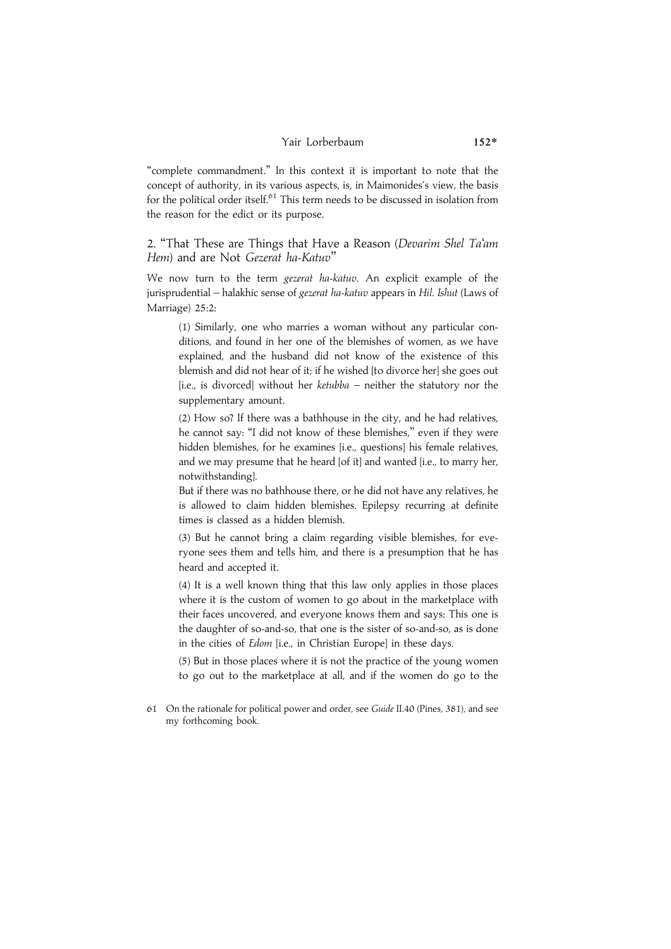## Yair Lorberbaum 152\*

''complete commandment.'' In this context it is important to note that the concept of authority, in its various aspects, is, in Maimonides's view, the basis for the political order itself. $61$  This term needs to be discussed in isolation from the reason for the edict or its purpose.

2. "That These are Things that Have a Reason (Devarim Shel Ta'am Hem) and are Not Gezerat ha-Katuv''

We now turn to the term gezerat ha-katuv. An explicit example of the jurisprudential – halakhic sense of gezerat ha-katuv appears in Hil. Ishut (Laws of Marriage) 25:2:

(1) Similarly, one who marries a woman without any particular conditions, and found in her one of the blemishes of women, as we have explained, and the husband did not know of the existence of this blemish and did not hear of it; if he wished [to divorce her] she goes out [i.e., is divorced] without her ketubba – neither the statutory nor the supplementary amount.

(2) How so? If there was a bathhouse in the city, and he had relatives, he cannot say: ''I did not know of these blemishes,'' even if they were hidden blemishes, for he examines [i.e., questions] his female relatives, and we may presume that he heard [of it] and wanted [i.e., to marry her, notwithstanding].

But if there was no bathhouse there, or he did not have any relatives, he is allowed to claim hidden blemishes. Epilepsy recurring at definite times is classed as a hidden blemish.

(3) But he cannot bring a claim regarding visible blemishes, for everyone sees them and tells him, and there is a presumption that he has heard and accepted it.

(4) It is a well known thing that this law only applies in those places where it is the custom of women to go about in the marketplace with their faces uncovered, and everyone knows them and says: This one is the daughter of so-and-so, that one is the sister of so-and-so, as is done in the cities of Edom [i.e., in Christian Europe] in these days.

(5) But in those places where it is not the practice of the young women to go out to the marketplace at all, and if the women do go to the

<sup>61</sup> On the rationale for political power and order, see Guide II.40 (Pines, 381), and see my forthcoming book.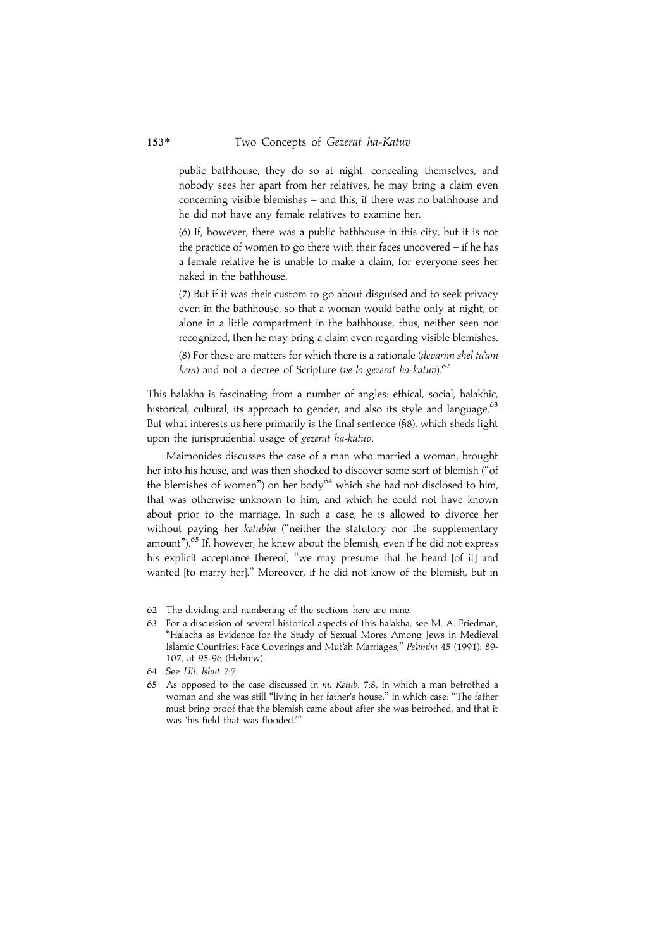public bathhouse, they do so at night, concealing themselves, and nobody sees her apart from her relatives, he may bring a claim even concerning visible blemishes – and this, if there was no bathhouse and he did not have any female relatives to examine her.

(6) If, however, there was a public bathhouse in this city, but it is not the practice of women to go there with their faces uncovered – if he has a female relative he is unable to make a claim, for everyone sees her naked in the bathhouse.

(7) But if it was their custom to go about disguised and to seek privacy even in the bathhouse, so that a woman would bathe only at night, or alone in a little compartment in the bathhouse, thus, neither seen nor recognized, then he may bring a claim even regarding visible blemishes.

(8) For these are matters for which there is a rationale (devarim shel ta'am hem) and not a decree of Scripture (ve-lo gezerat ha-katuv). $62$ 

This halakha is fascinating from a number of angles: ethical, social, halakhic, historical, cultural, its approach to gender, and also its style and language.<sup>63</sup> But what interests us here primarily is the final sentence (§8), which sheds light upon the jurisprudential usage of gezerat ha-katuv.

Maimonides discusses the case of a man who married a woman, brought her into his house, and was then shocked to discover some sort of blemish (''of the blemishes of women") on her body<sup>64</sup> which she had not disclosed to him, that was otherwise unknown to him, and which he could not have known about prior to the marriage. In such a case, he is allowed to divorce her without paying her ketubba ("neither the statutory nor the supplementary amount"). $65$  If, however, he knew about the blemish, even if he did not express his explicit acceptance thereof, "we may presume that he heard [of it] and wanted [to marry her].'' Moreover, if he did not know of the blemish, but in

- 62 The dividing and numbering of the sections here are mine.
- 63 For a discussion of several historical aspects of this halakha, see M. A. Friedman, ''Halacha as Evidence for the Study of Sexual Mores Among Jews in Medieval Islamic Countries: Face Coverings and Mut'ah Marriages,'' Pe'amim 45 (1991): 89- 107, at 95-96 (Hebrew).
- 64 See Hil. Ishut 7:7.
- 65 As opposed to the case discussed in m. Ketub. 7:8, in which a man betrothed a woman and she was still "living in her father's house," in which case: "The father must bring proof that the blemish came about after she was betrothed, and that it was 'his field that was flooded.'''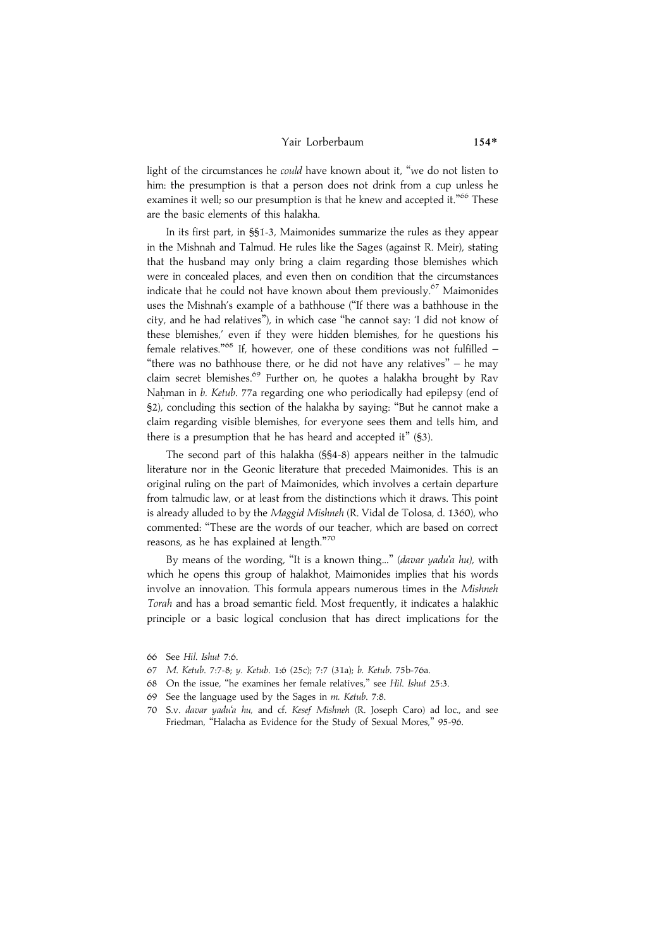#### Yair Lorberbaum 154\*

light of the circumstances he *could* have known about it, "we do not listen to him: the presumption is that a person does not drink from a cup unless he examines it well; so our presumption is that he knew and accepted it."<sup>66</sup> These are the basic elements of this halakha.

In its first part, in §§1-3, Maimonides summarize the rules as they appear in the Mishnah and Talmud. He rules like the Sages (against R. Meir), stating that the husband may only bring a claim regarding those blemishes which were in concealed places, and even then on condition that the circumstances indicate that he could not have known about them previously.<sup>67</sup> Maimonides uses the Mishnah's example of a bathhouse (''If there was a bathhouse in the city, and he had relatives''), in which case ''he cannot say: 'I did not know of these blemishes,' even if they were hidden blemishes, for he questions his female relatives."<sup>68</sup> If, however, one of these conditions was not fulfilled -"there was no bathhouse there, or he did not have any relatives" - he mav claim secret blemishes.<sup>69</sup> Further on, he quotes a halakha brought by Rav Nahman in b. Ketub. 77a regarding one who periodically had epilepsy (end of §2), concluding this section of the halakha by saying: ''But he cannot make a claim regarding visible blemishes, for everyone sees them and tells him, and there is a presumption that he has heard and accepted it" (§3).

The second part of this halakha (§§4-8) appears neither in the talmudic literature nor in the Geonic literature that preceded Maimonides. This is an original ruling on the part of Maimonides, which involves a certain departure from talmudic law, or at least from the distinctions which it draws. This point is already alluded to by the Maggid Mishneh (R. Vidal de Tolosa, d. 1360), who commented: ''These are the words of our teacher, which are based on correct reasons, as he has explained at length."<sup>70</sup>

By means of the wording, "It is a known thing..." (davar yadu'a hu), with which he opens this group of halakhot, Maimonides implies that his words involve an innovation. This formula appears numerous times in the Mishneh Torah and has a broad semantic field. Most frequently, it indicates a halakhic principle or a basic logical conclusion that has direct implications for the

- 67 M. Ketub. 7:7-8; y. Ketub. 1:6 (25c); 7:7 (31a); b. Ketub. 75b-76a.
- 68 On the issue, ''he examines her female relatives,'' see Hil. Ishut 25:3.
- 69 See the language used by the Sages in m. Ketub. 7:8.
- 70 S.v. davar yadu'a hu, and cf. Kesef Mishneh (R. Joseph Caro) ad loc., and see Friedman, "Halacha as Evidence for the Study of Sexual Mores," 95-96.

<sup>66</sup> See Hil. Ishut 7:6.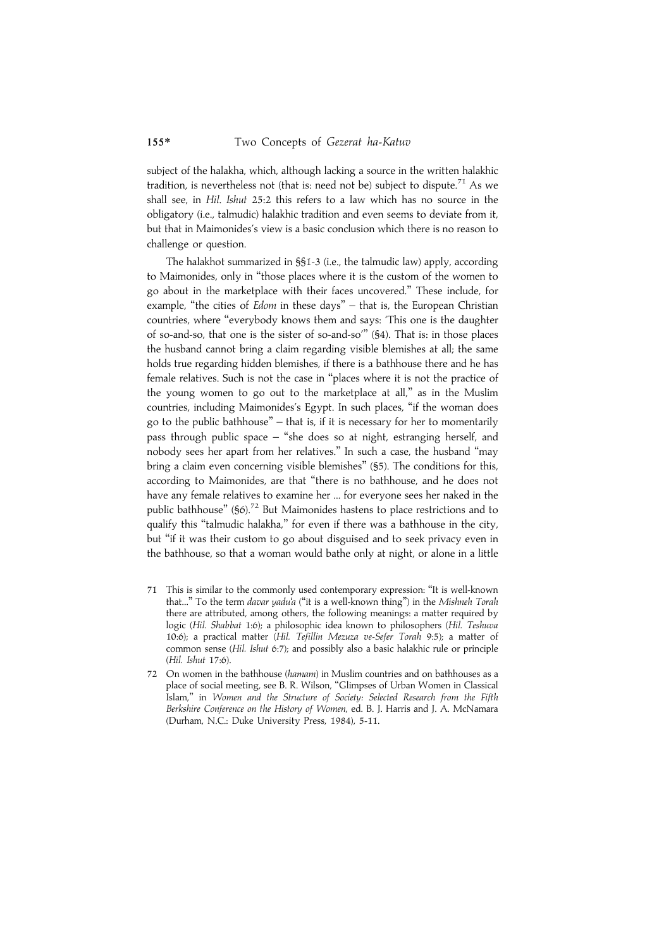subject of the halakha, which, although lacking a source in the written halakhic tradition, is nevertheless not (that is: need not be) subject to dispute.<sup>71</sup> As we shall see, in Hil. Ishut 25:2 this refers to a law which has no source in the obligatory (i.e., talmudic) halakhic tradition and even seems to deviate from it, but that in Maimonides's view is a basic conclusion which there is no reason to challenge or question.

The halakhot summarized in §§1-3 (i.e., the talmudic law) apply, according to Maimonides, only in ''those places where it is the custom of the women to go about in the marketplace with their faces uncovered.'' These include, for example, "the cities of Edom in these days" – that is, the European Christian countries, where ''everybody knows them and says: 'This one is the daughter of so-and-so, that one is the sister of so-and-so''' (§4). That is: in those places the husband cannot bring a claim regarding visible blemishes at all; the same holds true regarding hidden blemishes, if there is a bathhouse there and he has female relatives. Such is not the case in ''places where it is not the practice of the young women to go out to the marketplace at all,'' as in the Muslim countries, including Maimonides's Egypt. In such places, ''if the woman does go to the public bathhouse'' – that is, if it is necessary for her to momentarily pass through public space – ''she does so at night, estranging herself, and nobody sees her apart from her relatives.'' In such a case, the husband ''may bring a claim even concerning visible blemishes'' (§5). The conditions for this, according to Maimonides, are that ''there is no bathhouse, and he does not have any female relatives to examine her ... for everyone sees her naked in the public bathhouse" (§6).<sup>72</sup> But Maimonides hastens to place restrictions and to qualify this "talmudic halakha," for even if there was a bathhouse in the city, but ''if it was their custom to go about disguised and to seek privacy even in the bathhouse, so that a woman would bathe only at night, or alone in a little

- 71 This is similar to the commonly used contemporary expression: ''It is well-known that..." To the term davar yadu'a ("it is a well-known thing") in the Mishneh Torah there are attributed, among others, the following meanings: a matter required by logic (Hil. Shabbat 1:6); a philosophic idea known to philosophers (Hil. Teshuva 10:6); a practical matter (Hil. Tefillin Mezuza ve-Sefer Torah 9:5); a matter of common sense (Hil. Ishut 6:7); and possibly also a basic halakhic rule or principle (Hil. Ishut 17:6).
- 72 On women in the bathhouse (hamam) in Muslim countries and on bathhouses as a place of social meeting, see B. R. Wilson, ''Glimpses of Urban Women in Classical Islam,'' in Women and the Structure of Society: Selected Research from the Fifth Berkshire Conference on the History of Women, ed. B. J. Harris and J. A. McNamara (Durham, N.C.: Duke University Press, 1984), 5-11.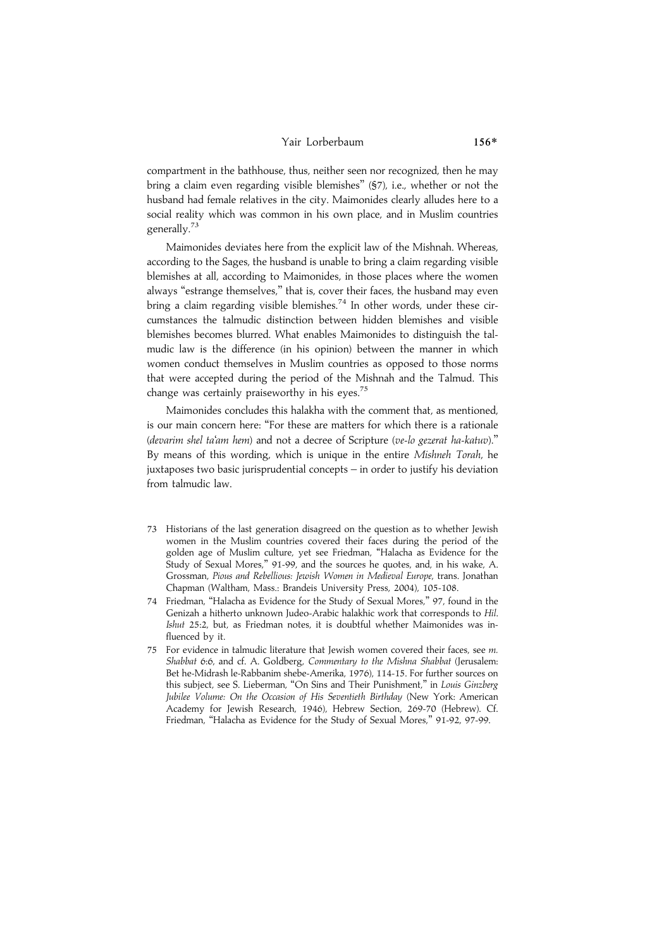#### Yair Lorberbaum 156\*

compartment in the bathhouse, thus, neither seen nor recognized, then he may bring a claim even regarding visible blemishes'' (§7), i.e., whether or not the husband had female relatives in the city. Maimonides clearly alludes here to a social reality which was common in his own place, and in Muslim countries generally.<sup>73</sup>

Maimonides deviates here from the explicit law of the Mishnah. Whereas, according to the Sages, the husband is unable to bring a claim regarding visible blemishes at all, according to Maimonides, in those places where the women always ''estrange themselves,'' that is, cover their faces, the husband may even bring a claim regarding visible blemishes.<sup>74</sup> In other words, under these circumstances the talmudic distinction between hidden blemishes and visible blemishes becomes blurred. What enables Maimonides to distinguish the talmudic law is the difference (in his opinion) between the manner in which women conduct themselves in Muslim countries as opposed to those norms that were accepted during the period of the Mishnah and the Talmud. This change was certainly praiseworthy in his eyes.<sup>75</sup>

Maimonides concludes this halakha with the comment that, as mentioned, is our main concern here: "For these are matters for which there is a rationale (devarim shel ta'am hem) and not a decree of Scripture (ve-lo gezerat ha-katuv).'' By means of this wording, which is unique in the entire Mishneh Torah, he juxtaposes two basic jurisprudential concepts – in order to justify his deviation from talmudic law.

- 73 Historians of the last generation disagreed on the question as to whether Jewish women in the Muslim countries covered their faces during the period of the golden age of Muslim culture, yet see Friedman, ''Halacha as Evidence for the Study of Sexual Mores,'' 91-99, and the sources he quotes, and, in his wake, A. Grossman, Pious and Rebellious: Jewish Women in Medieval Europe, trans. Jonathan Chapman (Waltham, Mass.: Brandeis University Press, 2004), 105-108.
- 74 Friedman, ''Halacha as Evidence for the Study of Sexual Mores,'' 97, found in the Genizah a hitherto unknown Judeo-Arabic halakhic work that corresponds to Hil. Ishut 25:2, but, as Friedman notes, it is doubtful whether Maimonides was influenced by it.
- 75 For evidence in talmudic literature that Jewish women covered their faces, see m. Shabbat 6:6, and cf. A. Goldberg, Commentary to the Mishna Shabbat (Jerusalem: Bet he-Midrash le-Rabbanim shebe-Amerika, 1976), 114-15. For further sources on this subject, see S. Lieberman, ''On Sins and Their Punishment,'' in Louis Ginzberg Jubilee Volume: On the Occasion of His Seventieth Birthday (New York: American Academy for Jewish Research, 1946), Hebrew Section, 269-70 (Hebrew). Cf. Friedman, ''Halacha as Evidence for the Study of Sexual Mores,'' 91-92, 97-99.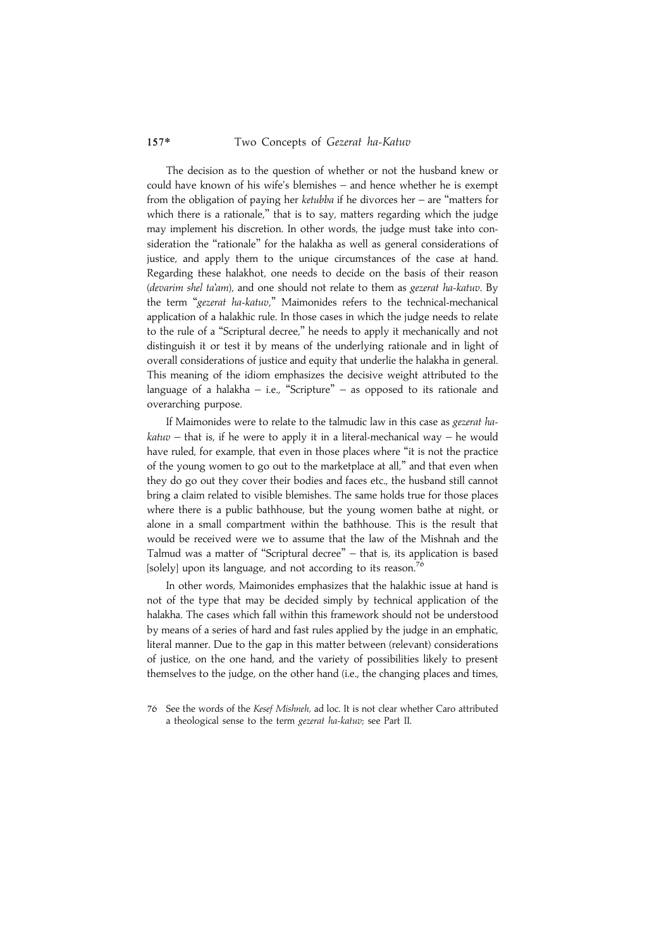The decision as to the question of whether or not the husband knew or could have known of his wife's blemishes – and hence whether he is exempt from the obligation of paying her ketubba if he divorces her – are ''matters for which there is a rationale," that is to say, matters regarding which the judge may implement his discretion. In other words, the judge must take into consideration the "rationale" for the halakha as well as general considerations of justice, and apply them to the unique circumstances of the case at hand. Regarding these halakhot, one needs to decide on the basis of their reason (devarim shel ta'am), and one should not relate to them as gezerat ha-katuv. By the term ''gezerat ha-katuv,'' Maimonides refers to the technical-mechanical application of a halakhic rule. In those cases in which the judge needs to relate to the rule of a ''Scriptural decree,'' he needs to apply it mechanically and not distinguish it or test it by means of the underlying rationale and in light of overall considerations of justice and equity that underlie the halakha in general. This meaning of the idiom emphasizes the decisive weight attributed to the language of a halakha – i.e., "Scripture" – as opposed to its rationale and overarching purpose.

If Maimonides were to relate to the talmudic law in this case as gezerat ha $katuv$  – that is, if he were to apply it in a literal-mechanical way – he would have ruled, for example, that even in those places where "it is not the practice of the young women to go out to the marketplace at all,'' and that even when they do go out they cover their bodies and faces etc., the husband still cannot bring a claim related to visible blemishes. The same holds true for those places where there is a public bathhouse, but the young women bathe at night, or alone in a small compartment within the bathhouse. This is the result that would be received were we to assume that the law of the Mishnah and the Talmud was a matter of ''Scriptural decree'' – that is, its application is based [solely] upon its language, and not according to its reason.<sup>7</sup>

In other words, Maimonides emphasizes that the halakhic issue at hand is not of the type that may be decided simply by technical application of the halakha. The cases which fall within this framework should not be understood by means of a series of hard and fast rules applied by the judge in an emphatic, literal manner. Due to the gap in this matter between (relevant) considerations of justice, on the one hand, and the variety of possibilities likely to present themselves to the judge, on the other hand (i.e., the changing places and times,

<sup>76</sup> See the words of the Kesef Mishneh, ad loc. It is not clear whether Caro attributed a theological sense to the term gezerat ha-katuv; see Part II.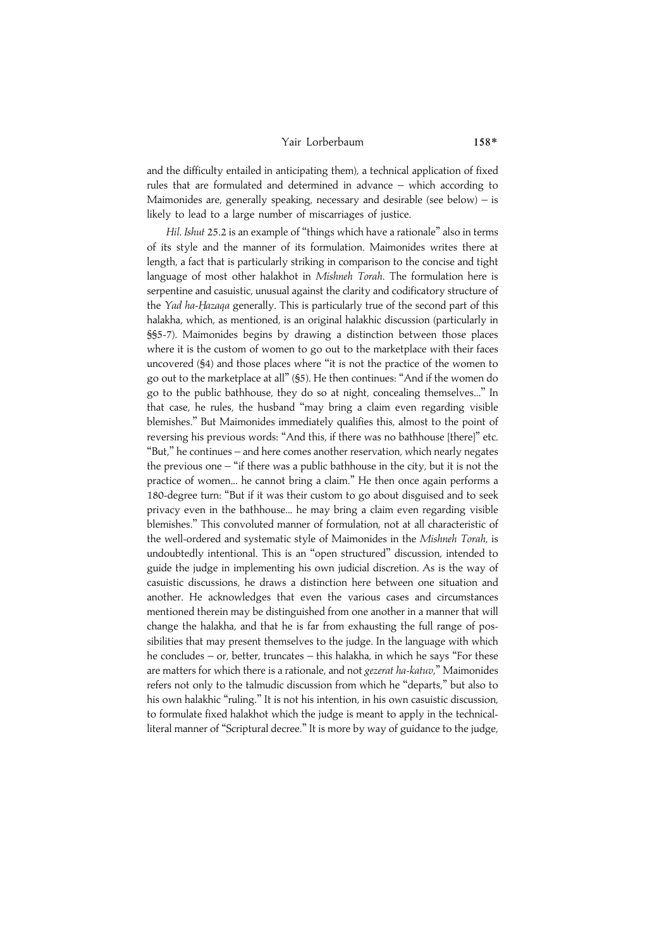#### Yair Lorberbaum 158\*

and the difficulty entailed in anticipating them), a technical application of fixed rules that are formulated and determined in advance – which according to Maimonides are, generally speaking, necessary and desirable (see below) – is likely to lead to a large number of miscarriages of justice.

Hil. Ishut 25.2 is an example of "things which have a rationale" also in terms of its style and the manner of its formulation. Maimonides writes there at length, a fact that is particularly striking in comparison to the concise and tight language of most other halakhot in Mishneh Torah. The formulation here is serpentine and casuistic, unusual against the clarity and codificatory structure of the Yad ha-Hazaqa generally. This is particularly true of the second part of this halakha, which, as mentioned, is an original halakhic discussion (particularly in §§5-7). Maimonides begins by drawing a distinction between those places where it is the custom of women to go out to the marketplace with their faces uncovered (§4) and those places where ''it is not the practice of the women to go out to the marketplace at all'' (§5). He then continues: ''And if the women do go to the public bathhouse, they do so at night, concealing themselves...'' In that case, he rules, the husband ''may bring a claim even regarding visible blemishes.'' But Maimonides immediately qualifies this, almost to the point of reversing his previous words: ''And this, if there was no bathhouse [there]'' etc. ''But,'' he continues – and here comes another reservation, which nearly negates the previous one  $-$  "if there was a public bathhouse in the city, but it is not the practice of women... he cannot bring a claim.'' He then once again performs a 180-degree turn: ''But if it was their custom to go about disguised and to seek privacy even in the bathhouse... he may bring a claim even regarding visible blemishes.'' This convoluted manner of formulation, not at all characteristic of the well-ordered and systematic style of Maimonides in the Mishneh Torah, is undoubtedly intentional. This is an ''open structured'' discussion, intended to guide the judge in implementing his own judicial discretion. As is the way of casuistic discussions, he draws a distinction here between one situation and another. He acknowledges that even the various cases and circumstances mentioned therein may be distinguished from one another in a manner that will change the halakha, and that he is far from exhausting the full range of possibilities that may present themselves to the judge. In the language with which he concludes – or, better, truncates – this halakha, in which he says ''For these are matters for which there is a rationale, and not gezerat ha-katuv," Maimonides refers not only to the talmudic discussion from which he ''departs,'' but also to his own halakhic "ruling." It is not his intention, in his own casuistic discussion, to formulate fixed halakhot which the judge is meant to apply in the technicalliteral manner of ''Scriptural decree.'' It is more by way of guidance to the judge,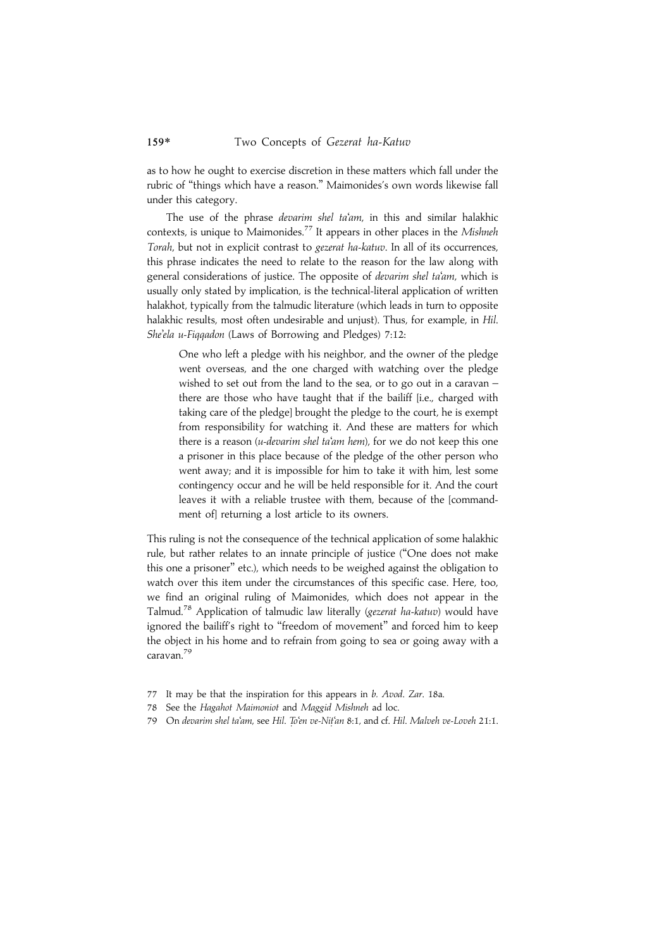as to how he ought to exercise discretion in these matters which fall under the rubric of ''things which have a reason.'' Maimonides's own words likewise fall under this category.

The use of the phrase devarim shel ta'am, in this and similar halakhic contexts, is unique to Maimonides.<sup>77</sup> It appears in other places in the Mishneh Torah, but not in explicit contrast to gezerat ha-katuv. In all of its occurrences, this phrase indicates the need to relate to the reason for the law along with general considerations of justice. The opposite of devarim shel ta'am, which is usually only stated by implication, is the technical-literal application of written halakhot, typically from the talmudic literature (which leads in turn to opposite halakhic results, most often undesirable and unjust). Thus, for example, in Hil. She'ela u-Fiqqadon (Laws of Borrowing and Pledges) 7:12:

One who left a pledge with his neighbor, and the owner of the pledge went overseas, and the one charged with watching over the pledge wished to set out from the land to the sea, or to go out in a caravan – there are those who have taught that if the bailiff [i.e., charged with taking care of the pledge] brought the pledge to the court, he is exempt from responsibility for watching it. And these are matters for which there is a reason (u-devarim shel ta'am hem), for we do not keep this one a prisoner in this place because of the pledge of the other person who went away; and it is impossible for him to take it with him, lest some contingency occur and he will be held responsible for it. And the court leaves it with a reliable trustee with them, because of the [commandment of] returning a lost article to its owners.

This ruling is not the consequence of the technical application of some halakhic rule, but rather relates to an innate principle of justice (''One does not make this one a prisoner'' etc.), which needs to be weighed against the obligation to watch over this item under the circumstances of this specific case. Here, too, we find an original ruling of Maimonides, which does not appear in the Talmud.<sup>78</sup> Application of talmudic law literally (gezerat ha-katuv) would have ignored the bailiff's right to "freedom of movement" and forced him to keep the object in his home and to refrain from going to sea or going away with a caravan.79

- 77 It may be that the inspiration for this appears in b. Avod. Zar. 18a.
- 78 See the Hagahot Maimoniot and Maggid Mishneh ad loc.
- On devarim shel ta'am, see Hil. To'en ve-Nit'an 8:1, and cf. Hil. Malveh ve-Loveh 21:1.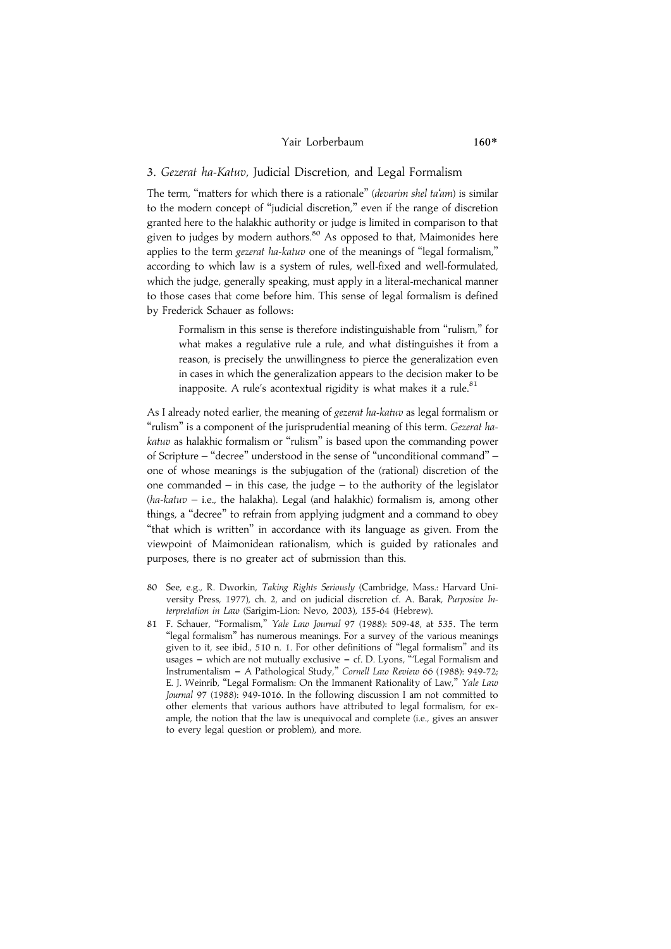#### Yair Lorberbaum

# 3. Gezerat ha-Katuv, Judicial Discretion, and Legal Formalism

The term, "matters for which there is a rationale" (devarim shel ta'am) is similar to the modern concept of ''judicial discretion,'' even if the range of discretion granted here to the halakhic authority or judge is limited in comparison to that given to judges by modern authors.<sup>80</sup> As opposed to that, Maimonides here applies to the term gezerat ha-katuv one of the meanings of ''legal formalism,'' according to which law is a system of rules, well-fixed and well-formulated, which the judge, generally speaking, must apply in a literal-mechanical manner to those cases that come before him. This sense of legal formalism is defined by Frederick Schauer as follows:

Formalism in this sense is therefore indistinguishable from "rulism." for what makes a regulative rule a rule, and what distinguishes it from a reason, is precisely the unwillingness to pierce the generalization even in cases in which the generalization appears to the decision maker to be inapposite. A rule's acontextual rigidity is what makes it a rule. $81$ 

As I already noted earlier, the meaning of gezerat ha-katuv as legal formalism or ''rulism'' is a component of the jurisprudential meaning of this term. Gezerat hakatuv as halakhic formalism or ''rulism'' is based upon the commanding power of Scripture – ''decree'' understood in the sense of ''unconditional command'' – one of whose meanings is the subjugation of the (rational) discretion of the one commanded – in this case, the judge – to the authority of the legislator  $(ha-katuv - i.e.,$  the halakha). Legal (and halakhic) formalism is, among other things, a ''decree'' to refrain from applying judgment and a command to obey "that which is written" in accordance with its language as given. From the viewpoint of Maimonidean rationalism, which is guided by rationales and purposes, there is no greater act of submission than this.

- 80 See, e.g., R. Dworkin, Taking Rights Seriously (Cambridge, Mass.: Harvard University Press, 1977), ch. 2, and on judicial discretion cf. A. Barak, Purposive Interpretation in Law (Sarigim-Lion: Nevo, 2003), 155-64 (Hebrew).
- 81 F. Schauer, ''Formalism,'' Yale Law Journal 97 (1988): 509-48, at 535. The term ''legal formalism'' has numerous meanings. For a survey of the various meanings given to it, see ibid., 510 n. 1. For other definitions of ''legal formalism'' and its usages – which are not mutually exclusive – cf. D. Lyons, "Legal Formalism and Instrumentalism - A Pathological Study," Cornell Law Review 66 (1988): 949-72; E. J. Weinrib, "Legal Formalism: On the Immanent Rationality of Law," Yale Law Journal 97 (1988): 949-1016. In the following discussion I am not committed to other elements that various authors have attributed to legal formalism, for example, the notion that the law is unequivocal and complete (i.e., gives an answer to every legal question or problem), and more.